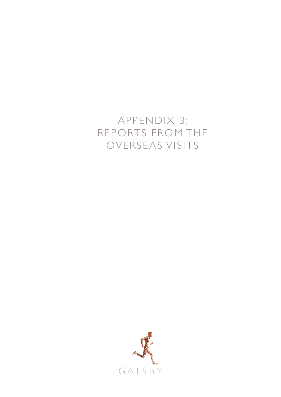# APPENDIX 3: REPORTS FROM THE OVERSEAS VISITS

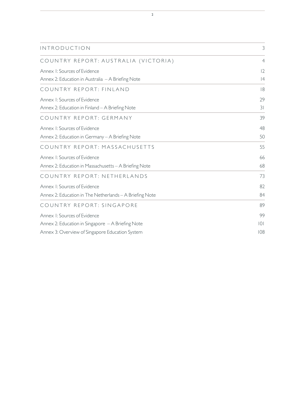| INTRODUCTION                                            | 3              |
|---------------------------------------------------------|----------------|
| COUNTRY REPORT: AUSTRALIA (VICTORIA)                    | $\overline{4}$ |
| Annex I: Sources of Evidence                            | 12             |
| Annex 2: Education in Australia - A Briefing Note       | 4              |
| COUNTRY REPORT: FINLAND                                 | 8              |
| Annex I: Sources of Evidence                            | 29             |
| Annex 2: Education in Finland - A Briefing Note         | 31             |
| COUNTRY REPORT: GERMANY                                 | 39             |
| Annex I: Sources of Evidence                            | 48             |
| Annex 2: Education in Germany - A Briefing Note         | 50             |
| COUNTRY REPORT: MASSACHUSETTS                           | 55             |
| Annex I: Sources of Evidence                            | 66             |
| Annex 2: Education in Massachusetts - A Briefing Note   | 68             |
| COUNTRY REPORT: NETHERLANDS                             | 73             |
| Annex I: Sources of Evidence                            | 82             |
| Annex 2: Education in The Netherlands - A Briefing Note | 84             |
| COUNTRY REPORT: SINGAPORE                               | 89             |
| Annex I: Sources of Evidence                            | 99             |
| Annex 2: Education in Singapore - A Briefing Note       | 0              |
| Annex 3: Overview of Singapore Education System         | 108            |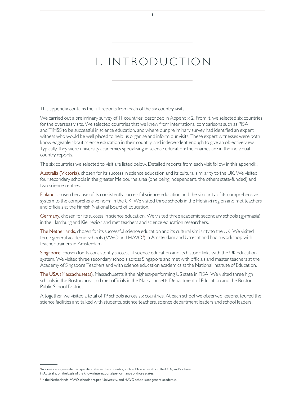# 1. INTRODUCTION

This appendix contains the full reports from each of the six country visits.

We carried out a preliminary survey of II countries, described in Appendix 2. From it, we selected six countries<sup>i</sup> for the overseas visits. We selected countries that we knew from international comparisons such as PISA and TIMSS to be successful in science education, and where our preliminary survey had identified an expert witness who would be well placed to help us organise and inform our visits. These expert witnesses were both knowledgeable about science education in their country, and independent enough to give an objective view. Typically, they were university academics specialising in science education: their names are in the individual country reports.

The six countries we selected to visit are listed below. Detailed reports from each visit follow in this appendix.

Australia (Victoria), chosen for its success in science education and its cultural similarity to the UK. We visited four secondary schools in the greater Melbourne area (one being independent, the others state-funded) and two science centres.

Finland, chosen because of its consistently successful science education and the similarity of its comprehensive system to the comprehensive norm in the UK. We visited three schools in the Helsinki region and met teachers and officials at the Finnish National Board of Education.

Germany, chosen for its success in science education. We visited three academic secondary schools (gymnasia) in the Hamburg and Kiel region and met teachers and science education researchers.

The Netherlands, chosen for its successful science education and its cultural similarity to the UK. We visited three general academic schools (VWO and HAVO<sup>ii</sup>) in Amsterdam and Utrecht and had a workshop with teacher trainers in Amsterdam.

Singapore, chosen for its consistently successful science education and its historic links with the UK education system. We visited three secondary schools across Singapore and met with officials and master teachers at the Academy of Singapore Teachers and with science education academics at the National Institute of Education.

The USA (Massachusetts). Massachusetts is the highest-performing US state in PISA. We visited three high schools in the Boston area and met officials in the Massachusetts Department of Education and the Boston Public School District.

Altogether, we visited a total of 19 schools across six countries. At each school we observed lessons, toured the science facilities and talked with students, science teachers, science department leaders and school leaders.

i In some cases, we selected specific states within a country, such as Massachusetts in the USA, and Victoria in Australia, on the basis of the known international performance of those states.

ii In the Netherlands, VWO schools are pre-University, and HAVO schools are generalacademic.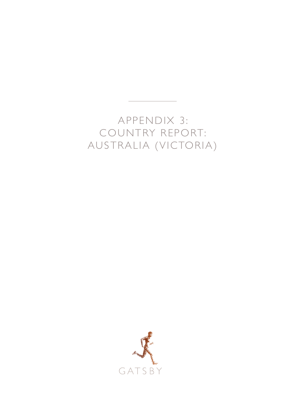# APPENDIX 3: COUNTRY REPORT: AUSTRALIA (VICTORIA)

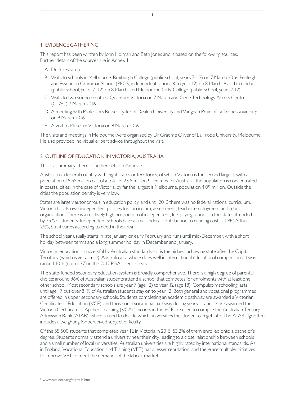## 1 EVIDENCE GATHERING

This report has been written by John Holman and Beth Jones and is based on the following sources. Further details of the sources are in Annex 1.

- A. Desk research.
- B. Visits to schools in Melbourne: Roxburgh College (public school, years 7–12) on 7 March 2016; Penleigh and Essendon Grammar School (PEGS, independent school, K to year 12) on 8 March; Blackburn School (public school, years 7–12) on 8 March; and Melbourne Girls' College (public school, years 7-12).
- C. Visits to two science centres: Quantum Victoria on 7 March and Gene Technology Access Centre (GTAC) 7 March 2016.
- D. A meeting with Professors Russell Tytler of Deakin University and Vaughan Prain of La Trobe University on 9 March 2016.
- E. A visit to Museum Victoria on 8 March 2016.

The visits and meetings in Melbourne were organised by Dr Graeme Oliver of La Trobe University, Melbourne. He also provided individual expert advice throughout the visit.

# 2 OUTLINE OF EDUCATION IN VICTORIA, AUSTRALIA

This is a summary: there is further detail in Annex 2.

Australia is a federal country with eight states or territories, of which Victoria is the second largest, with a population of 5.55 million out of a total of 23.5 million.<sup>1</sup> Like most of Australia, the population is concentrated in coastal cities: in the case of Victoria, by far the largest is Melbourne, population 4.09 million. Outside the cities the population density is very low.

States are largely autonomous in education policy, and until 2010 there was no federal national curriculum. Victoria has its own independent policies for curriculum, assessment, teacher employment and school organisation. There is a relatively high proportion of independent, fee-paying schools in the state, attended by 25% of students. Independent schools have a small federal contribution to running costs: at PEGS this is 26%, but it varies according to need in the area.

The school year usually starts in late January or early February and runs until mid-December, with a short holiday between terms and a long summer holiday in December and January.

Victorian education is successful by Australian standards – it is the highest achieving state after the Capital Territory (which is very small). Australia as a whole does well in international educational comparisons: it was ranked 10th (out of 37) in the 2012 PISA science tests.

The state-funded secondary education system is broadly comprehensive. There is a high degree of parental choice: around 96% of Australian students attend a school that competes for enrolments with at least one other school. Most secondary schools are year 7 (age 12) to year 12 (age 18). Compulsory schooling lasts until age 17 but over 84% of Australian students stay on to year 12. Both general and vocational programmes are offered in upper secondary schools. Students completing an academic pathway are awarded a Victorian Certificate of Education (VCE), and those on a vocational pathway during years 11 and 12 are awarded the Victoria Certificate of Applied Learning (VCAL). Scores in the VCE are used to compile the Australian Tertiary Admission Rank (ATAR), which is used to decide which universities the student can get into. The ATAR algorithm includes a weighting for perceived subject difficulty.

Of the 55,500 students that completed year 12 in Victoria in 2015, 53.2% of them enrolled onto a bachelor's degree. Students normally attend a university near their city, leading to a close relationship between schools and a small number of local universities. Australian universities are highly rated by international standards. As in England, Vocational Education and Training (VET) has a lesser reputation, and there are multiple initiatives to improve VET to meet the demands of the labour market.

<sup>1</sup> www.data.oecd.org/australia.htm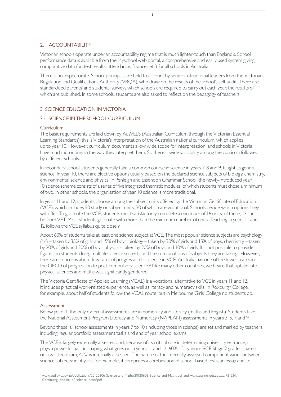# 2.1 ACCOUNTABILITY

Victorian schools operate under an accountability regime that is much lighter-touch than England's. School performance data is available from the Myschool web portal, a comprehensive and easily used system giving comparative data (on test results, attendance, finances etc) for all schools in Australia.

6

There is no inspectorate. School principals are held to account by senior instructional leaders from the Victorian Regulation and Qualifications Authority (VRQA), who draw on the results of the school's self-audit. There are standardised parents' and students' surveys which schools are required to carry out each year, the results of which are published. In some schools, students are also asked to reflect on the pedagogy of teachers.

# 3 SCIENCE EDUCATION IN VICTORIA

# 3.1 SCIENCE IN THE SCHOOL CURRICULUM

## Curriculum

The basic requirements are laid down by AusVELS (Australian Curriculum through the Victorian Essential Learning Standards): this is Victoria's interpretation of the Australian national curriculum, which applies up to year 10. However, curriculum documents allow wide scope for interpretation, and schools in Victoria have much autonomy in the way they interpret them. So there is wide variability among the curricula followed by different schools.

In secondary school, students generally take a common course in science in years 7, 8 and 9, taught as general science. In year 10, there are elective options usually based on the declared science subjects of biology, chemistry, environmental science and physics. In Penleigh and Essendon Grammar School, the newly-introduced year 10 science scheme consists of a series of five integrated thematic modules, of which students must chose a minimum of two. In other schools, the organisation of year 10 science is more traditional.

In years 11 and 12, students choose among the subject units offered by the Victorian Certificate of Education (VCE), which includes 90 study or subject units, 30 of which are vocational. Schools decide which options they will offer. To graduate the VCE, students must satisfactorily complete a minimum of 16 units: of these, 13 can be from VET. Most students graduate with more than the minimum number of units. Teaching in years 11 and 12 follows the VCE syllabus quite closely.

About 60% of students take at least one science subject at VCE. The most popular science subjects are psychology (sic) – taken by 35% of girls and 15% of boys, biology – taken by 30% of girls and 15% of boys, chemistry – taken by 20% of girls and 20% of boys, physics – taken by 20% of boys and 10% of girls. It is not possible to provide figures on students doing multiple science subjects and the combinations of subjects they are taking.. However, there are concerns about low rates of progression to science in VCE: Australia has one of the lowest rates in the OECD of progression to post-compulsory science.<sup>2</sup> Like many other countries, we heard that uptake into physical sciences and maths was significantly gendered.

The Victoria Certificate of Applied Learning (VCAL) is a vocational alternative to VCE in years 11 and 12. It includes practical work-related experience, as well as literacy and numeracy skills. In Roxburgh College, for example, about half of students follow the VCAL route, but in Melbourne Girls' College no students do.

## Assessment

Below year 11, the only external assessments are in numeracy and literacy (maths and English). Students take the National Assessment Program Literacy and Numeracy (NAPLAN) assessments in years 3, 5, 7 and 9.

Beyond these, all school assessments in years 7 to 10 (including those in science) are set and marked by teachers, including regular portfolio assessment tasks and end of year school exams.

The VCE is largely externally assessed and, because of its critical role in determining university entrance, it plays a powerful part in shaping what goes on in years 11 and 12. 60% of a science VCE Stage 2 grade is based on a written exam, 40% is internally assessed. The nature of the internally assessed component varies between science subjects: in physics, for example, it comprises a combination of school-based tests, an essay and an

<sup>2</sup> www.audit.vic.gov.au/publications/20120606-Science-and-Maths/20120606-Science-and-Maths.pdf and www.eprints.qut.edu.au/73153/1/ Continuing\_decline\_of\_science\_proof.pdf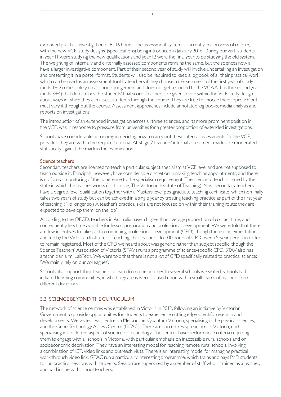extended practical investigation of 8–16 hours. The assessment system is currently in a process of reform, with the new VCE 'study designs' (specifications) being introduced in January 2016. During our visit, students in year 11 were studying the new qualifications and year 12 were the final year to be studying the old system. The weighting of internally and externally assessed components remains the same, but the sciences now all have a larger investigative component. Part of their second year of study will involve undertaking an investigation and presenting it in a poster format. Students will also be required to keep a log book of all their practical work, which can be used as an assessment tool by teachers if they choose to. Assessment of the first year of study (units 1+ 2) relies solely on a school's judgement and does not get reported to the VCAA. It is the second year (units 3+4) that determines the students' final score. Teachers are given advice within the VCE study design about ways in which they can assess students through the course. They are free to choose their approach but must vary it throughout the course. Assessment approaches include annotated log books, media analysis and reports on investigations.

The introduction of an extended investigation across all three sciences, and its more prominent position in the VCE, was in response to pressure from universities for a greater proportion of extended investigations.

Schools have considerable autonomy in deciding how to carry out these internal assessments for the VCE, provided they are within the required criteria. At Stage 2 teachers' internal assessment marks are moderated statistically against the mark in the examination.

## Science teachers

Secondary teachers are licensed to teach a particular subject specialism at VCE level and are not supposed to teach outside it. Principals, however, have considerable discretion in making teaching appointments, and there is no formal monitoring of the adherence to the specialism requirement. The licence to teach is issued by the state in which the teacher works (in this case, The Victorian Institute of Teaching). Most secondary teachers have a degree-level qualification together with a Masters level postgraduate teaching certificate, which nominally takes two years of study but can be achieved in a single year by treating teaching practice as part of the first year of teaching. (No longer so.) A teacher's practical skills are not focused on within their training route; they are expected to develop them 'on the job'.

According to the OECD, teachers in Australia have a higher than average proportion of contact time, and consequently less time available for lesson preparation and professional development. We were told that there are few incentives to take part in continuing professional development (CPD), though there is an expectation, audited by the Victorian Institute of Teaching, that teachers do 100 hours of CPD over a 5-year period in order to remain registered. Most of the CPD we heard about was generic rather than subject specific, though the Science Teachers' Association of Victoria (STAV) runs a programme of science-specific CPD. STAV also has a technician arm; LabTech. We were told that there is not a lot of CPD specifically related to practical science: 'We mainly rely on our colleagues'.

Schools also support their teachers to learn from one another. In several schools we visited, schools had initiated learning communities, in which key areas were focused upon within small teams of teachers from different disciplines.

## 3.3 SCIENCE BEYOND THE CURRICULUM

The network of science centres was established in Victoria in 2012, following an initiative by Victorian Government to provide opportunities for students to experience cutting edge scientific research and developments. We visited two centres in Melbourne: Quantum Victoria, specialising in the physical sciences, and the Gene Technology Access Centre (GTAC). There are six centres spread across Victoria, each specialising in a different aspect of science or technology. The centres have performance criteria requiring them to engage with all schools in Victoria, with particular emphasis on inaccessible rural schools and on socioeconomic deprivation. They have an interesting model for reaching remote rural schools, involving a combination of ICT, video links and outreach visits. There is an interesting model for managing practical work through video link. GTAC run a particularly interesting programme, which trains and pays PhD students to run practical sessions with students. Session are supervised by a member of staff who is trained as a teacher, and paid in line with school teachers.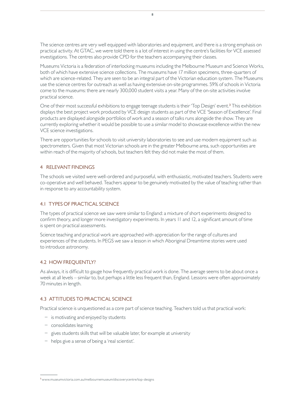The science centres are very well equipped with laboratories and equipment, and there is a strong emphasis on practical activity. At GTAC, we were told there is a lot of interest in using the centre's facilities for VCE assessed investigations. The centres also provide CPD for the teachers accompanying their classes.

Museums Victoria is a federation of interlocking museums including the Melbourne Museum and Science Works, both of which have extensive science collections. The museums have 17 million specimens, three-quarters of which are science-related. They are seen to be an integral part of the Victorian education system. The Museums use the science centres for outreach as well as having extensive on-site programmes. 59% of schools in Victoria come to the museums: there are nearly 300,000 student visits a year. Many of the on-site activities involve practical science.

One of their most successful exhibitions to engage teenage students is their 'Top Design' event.<sup>3</sup> This exhibition displays the best project work produced by VCE design students as part of the VCE 'Season of Excellence'. Final products are displayed alongside portfolios of work and a season of talks runs alongside the show. They are currently exploring whether it would be possible to use a similar model to showcase excellence within the new VCE science investigations.

There are opportunities for schools to visit university laboratories to see and use modern equipment such as spectrometers. Given that most Victorian schools are in the greater Melbourne area, such opportunities are within reach of the majority of schools, but teachers felt they did not make the most of them.

## 4 RELEVANT FINDINGS

The schools we visited were well-ordered and purposeful, with enthusiastic, motivated teachers. Students were co-operative and well behaved. Teachers appear to be genuinely motivated by the value of teaching rather than in response to any accountability system.

# 4.1 TYPES OF PRACTICAL SCIENCE

The types of practical science we saw were similar to England: a mixture of short experiments designed to confirm theory, and longer more investigatory experiments. In years 11 and 12, a significant amount of time is spent on practical assessments.

Science teaching and practical work are approached with appreciation for the range of cultures and experiences of the students. In PEGS we saw a lesson in which Aboriginal Dreamtime stories were used to introduce astronomy.

# 4.2 HOW FREQUENTLY?

As always, it is difficult to gauge how frequently practical work is done. The average seems to be about once a week at all levels – similar to, but perhaps a little less frequent than, England. Lessons were often approximately 70 minutes in length.

# 4.3 ATTITUDES TO PRACTICAL SCIENCE

Practical science is unquestioned as a core part of science teaching. Teachers told us that practical work:

- − is motivating and enjoyed by students
- − consolidates learning
- − gives students skills that will be valuable later, for example at university
- − helps give a sense of being a 'real scientist'.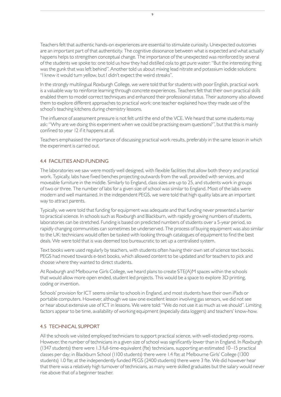Teachers felt that authentic hands-on experiences are essential to stimulate curiosity. Unexpected outcomes are an important part of that authenticity. The cognitive dissonance between what is expected and what actually happens helps to strengthen conceptual change. The importance of the unexpected was reinforced by several of the students we spoke to: one told us how they had distilled cola to get pure water: "But the interesting thing was the gunk that was left behind". Another told us about mixing lead nitrate and potassium iodide solutions: "I knew it would turn yellow, but I didn't expect the weird streaks".

9

In the strongly multilingual Roxburgh College, we were told that for students with poor English, practical work is a valuable way to reinforce learning through concrete experiences. Teachers felt that their own practical skills enabled them to model correct techniques and enhanced their professional status. Their autonomy also allowed them to explore different approaches to practical work: one teacher explained how they made use of the school's teaching kitchens during chemistry lessons.

The influence of assessment pressure is not felt until the end of the VCE. We heard that some students may ask: "Why are we doing this experiment when we could be practising exam questions?", but that this is mainly confined to year 12 if it happens at all.

Teachers emphasised the importance of discussing practical work results, preferably in the same lesson in which the experiment is carried out.

# 4.4 FACILITIES AND FUNDING

The laboratories we saw were mostly well designed, with flexible facilities that allow both theory and practical work. Typically, labs have fixed benches projecting outwards from the wall, provided with services, and moveable furniture in the middle. Similarly to England, class sizes are up to 25, and students work in groups of two or three. The number of labs for a given size of school was similar to England. Most of the labs were modern and well maintained. In the independent PEGS, we were told that high quality labs are an important way to attract parents.

Typically, we were told that funding for equipment was adequate and that funding never presented a barrier to practical science. In schools such as Roxburgh and Blackburn, with rapidly growing numbers of students, laboratories can be stretched. Funding is based on predicted numbers of students over a 5-year period, so rapidly changing communities can sometimes be underserved. The process of buying equipment was also similar to the UK: technicians would often be tasked with looking through catalogues of equipment to find the best deals. We were told that is was deemed too bureaucratic to set up a centralised system.

Text books were used regularly by teachers, with students often having their own set of science text books. PEGS had moved towards e-text books, which allowed content to be updated and for teachers to pick and choose where they wanted to direct students.

At Roxburgh and Melbourne Girls College, we heard plans to create STE(A)M spaces within the schools that would allow more open ended, student led projects. This would be a space to explore 3D printing, coding or invention.

Schools' provision for ICT seems similar to schools in England, and most students have their own iPads or portable computers. However, although we saw one excellent lesson involving gas sensors, we did not see or hear about extensive use of ICT in lessons. We were told: "We do not use it as much as we should". Limiting factors appear to be time, availability of working equipment (especially data loggers) and teachers' know-how.

# 4.5 TECHNICAL SUPPORT

All the schools we visited employed technicians to support practical science, with well-stocked prep rooms. However, the number of technicians in a given size of school was significantly lower than in England. In Roxburgh (1347 students) there were 1.3 full-time-equivalent (fte) technicians, supporting an estimated 10–15 practical classes per day; in Blackburn School (1100 students) there were 1.4 fte; at Melbourne Girls' College (1300 students) 1.0 fte; at the independently funded PEGS (2400 students) there were 3 fte. We did however hear that there was a relatively high turnover of technicians, as many were skilled graduates but the salary would never rise above that of a beginner teacher.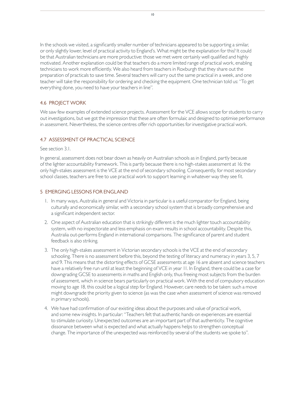In the schools we visited, a significantly smaller number of technicians appeared to be supporting a similar, or only slightly lower, level of practical activity to England's. What might be the explanation for this? It could be that Australian technicians are more productive: those we met were certainly well qualified and highly motivated. Another explanation could be that teachers do a more limited range of practical work, enabling technicians to work more efficiently. We also heard from teachers in Roxburgh that they share out the preparation of practicals to save time. Several teachers will carry out the same practical in a week, and one teacher will take the responsibility for ordering and checking the equipment. One technician told us: "To get everything done, you need to have your teachers in line".

# 4.6 PROJECT WORK

We saw few examples of extended science projects. Assessment for the VCE allows scope for students to carry out investigations, but we got the impression that these are often formulaic and designed to optimise performance in assessment. Nevertheless, the science centres offer rich opportunities for investigative practical work.

## 4.7 ASSESSMENT OF PRACTICAL SCIENCE

## See section 3.1.

In general, assessment does not bear down as heavily on Australian schools as in England, partly because of the lighter accountability framework. This is partly because there is no high-stakes assessment at 16: the only high-stakes assessment is the VCE at the end of secondary schooling. Consequently, for most secondary school classes, teachers are free to use practical work to support learning in whatever way they see fit.

## 5 EMERGING LESSONS FOR ENGLAND

- 1. In many ways, Australia in general and Victoria in particular is a useful comparator for England, being culturally and economically similar, with a secondary school system that is broadly comprehensive and a significant independent sector.
- 2. One aspect of Australian education that is strikingly different is the much lighter touch accountability system, with no inspectorate and less emphasis on exam results in school accountability. Despite this, Australia out-performs England in international comparisons. The significance of parent and student feedback is also striking.
- 3. The only high-stakes assessment in Victorian secondary schools is the VCE at the end of secondary schooling. There is no assessment before this, beyond the testing of literacy and numeracy in years 3, 5, 7 and 9. This means that the distorting effects of GCSE assessments at age 16 are absent and science teachers have a relatively free run until at least the beginning of VCE in year 11. In England, there could be a case for downgrading GCSE to assessments in maths and English only, thus freeing most subjects from the burden of assessment, which in science bears particularly on practical work. With the end of compulsory education moving to age 18, this could be a logical step for England. However, care needs to be taken: such a move might downgrade the priority given to science (as was the case when assessment of science was removed in primary schools).
- 4. We have had confirmation of our existing ideas about the purposes and value of practical work, and some new insights. In particular: "Teachers felt that authentic hands-on experiences are essential to stimulate curiosity. Unexpected outcomes are an important part of that authenticity. The cognitive dissonance between what is expected and what actually happens helps to strengthen conceptual change. The importance of the unexpected was reinforced by several of the students we spoke to".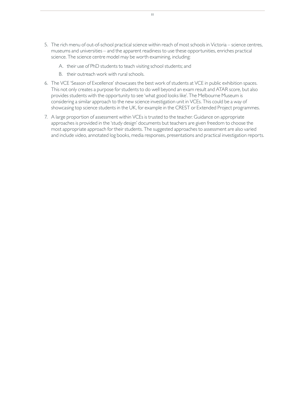- 5. The rich menu of out-of-school practical science within reach of most schools in Victoria science centres, museums and universities – and the apparent readiness to use these opportunities, enriches practical science. The science centre model may be worth examining, including:
	- A. their use of PhD students to teach visiting school students; and
	- B. their outreach work with rural schools.
- 6. The VCE 'Season of Excellence' showcases the best work of students at VCE in public exhibition spaces. This not only creates a purpose for students to do well beyond an exam result and ATAR score, but also provides students with the opportunity to see 'what good looks like'. The Melbourne Museum is considering a similar approach to the new science investigation unit in VCEs. This could be a way of showcasing top science students in the UK, for example in the CREST or Extended Project programmes.
- 7. A large proportion of assessment within VCEs is trusted to the teacher. Guidance on appropriate approaches is provided in the 'study design' documents but teachers are given freedom to choose the most appropriate approach for their students. The suggested approaches to assessment are also varied and include video, annotated log books, media responses, presentations and practical investigation reports.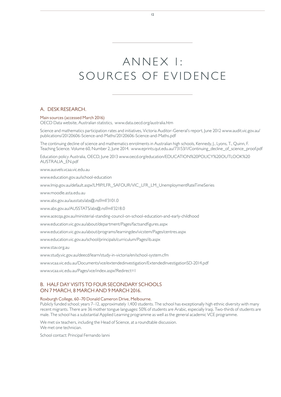# ANNEX I: SOURCES OF EVIDENCE

#### A. DESK RESEARCH.

#### Main sources (accessed March 2016)

OECD Data website, Australian statistics, www.data.oecd.org/australia.htm

Science and mathematics participation rates and initiatives, Victoria Auditor-General's report, June 2012 www.audit.vic.gov.au/ publications/20120606-Science-and-Maths/20120606-Science-and-Maths.pdf

The continuing decline of science and mathematics enrolments in Australian high schools, Kennedy, J., Lyons, T., Quinn, F. Teaching Science. Volume 60, Number 2, June 2014. www.eprints.qut.edu.au/73153/1/Continuing\_decline\_of\_science\_proof.pdf

Education policy Australia, OECD, June 2013 www.oecd.org/education/EDUCATION%20POLICY%20OUTLOOK%20 AUSTRALIA\_EN.pdf

www.ausvels.vcaa.vic.edu.au

www.education.gov.au/school-education

www.lmip.gov.au/default.aspx?LMIP/LFR\_SAFOUR/VIC\_LFR\_LM\_UnemploymentRateTimeSeries

www.moodle.asta.edu.au

www.abs.gov.au/ausstats/abs@.nsf/mf/3101.0

www.abs.gov.au/AUSSTATS/abs@.nsf/mf/3218.0

www.acecqa.gov.au/ministerial-standing-council-on-school-education-and-early-childhood

www.education.vic.gov.au/about/department/Pages/factsandfigures.aspx

www.education.vic.gov.au/about/programs/learningdev/vicstem/Pages/centres.aspx

www.education.vic.gov.au/school/principals/curriculum/Pages/ib.aspx

www.stav.org.au

www.study.vic.gov.au/deecd/learn/study-in-victoria/en/school-system.cfm

www.vcaa.vic.edu.au/Documents/vce/extendedinvestigation/ExtendedInvestigationSD-2014.pdf

www.vcaa.vic.edu.au/Pages/vce/index.aspx?Redirect=1

## B. HALF DAY VISITS TO FOUR SECONDARY SCHOOLS ON 7 MARCH, 8 MARCH AND 9 MARCH 2016.

#### Roxburgh College, 60–70 Donald Cameron Drive, Melbourne.

Publicly funded school; years 7–12, approximately 1,400 students. The school has exceptionally high ethnic diversity with many recent migrants. There are 36 mother tongue languages: 50% of students are Arabic, especially Iraqi. Two-thirds of students are male. The school has a substantial Applied Learning programme as well as the general academic VCE programme.

We met six teachers, including the Head of Science, at a roundtable discussion. We met one technician.

School contact: Principal Fernando Ianni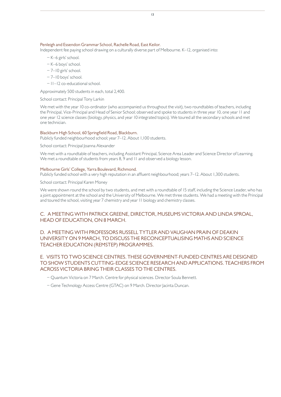#### Penleigh and Essendon Grammar School, Rachelle Road, East Keilor.

Independent fee paying school drawing on a culturally diverse part of Melbourne. K–12, organised into:

- − K–6 girls' school.
- − K–6 boys' school.
- − 7–10 girls' school.
- − 7–10 boys' school.
- − 11–12 co-educational school.

Approximately 500 students in each, total 2,400.

#### School contact: Principal Tony Larkin

We met with the year 10 co-ordinator (who accompanied us throughout the visit), two roundtables of teachers, including the Principal, Vice-Principal and Head of Senior School; observed and spoke to students in three year 10, one year 11 and one year 12 science classes (biology, physics, and year 10 integrated topics). We toured all the secondary schools and met one technician.

#### Blackburn High School, 60 Springfield Road, Blackburn.

Publicly funded neighbourhood school; year 7–12. About 1,100 students.

School contact: Principal Joanna Alexander

We met with a roundtable of teachers, including Assistant Principal, Science Area Leader and Science Director of Learning. We met a roundtable of students from years 8, 9 and 11 and observed a biology lesson.

#### Melbourne Girls' College, Yarra Boulevard, Richmond.

Publicly funded school with a very high reputation in an affluent neighbourhood; years 7–12. About 1,300 students.

School contact: Principal Karen Money

We were shown round the school by two students, and met with a roundtable of 15 staff, including the Science Leader, who has a joint appointment at the school and the University of Melbourne. We met three students. We had a meeting with the Principal and toured the school, visiting year 7 chemistry and year 11 biology and chemistry classes.

## C. A MEETING WITH PATRICK GREENE, DIRECTOR, MUSEUMS VICTORIA AND LINDA SPROAL, HEAD OF EDUCATION, ON 8 MARCH.

## D. A MEETING WITH PROFESSORS RUSSELL TYTLER AND VAUGHAN PRAIN OF DEAKIN UNIVERSITY ON 9 MARCH, TO DISCUSS THE RECONCEPTUALISING MATHS AND SCIENCE TEACHER EDUCATION (REMSTEP) PROGRAMMES.

## E. VISITS TO TWO SCIENCE CENTRES. THESE GOVERNMENT-FUNDED CENTRES ARE DESIGNED TO SHOW STUDENTS CUTTING-EDGE SCIENCE RESEARCH AND APPLICATIONS. TEACHERS FROM ACROSS VICTORIA BRING THEIR CLASSES TO THE CENTRES.

- − Quantum Victoria on 7 March. Centre for physical sciences. Director Soula Bennett.
- − Gene Technology Access Centre (GTAC) on 9 March. Director Jacinta Duncan.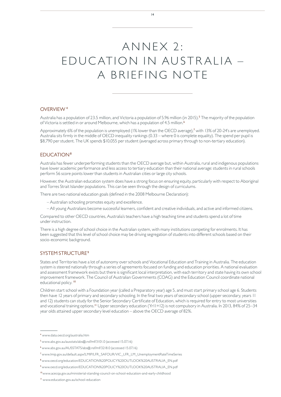# ANNFX 2: EDUCATION IN AUSTRALIA – A BRIEFING NOTE

#### OVERVIEW <sup>4</sup>

Australia has a population of 23.5 million, and Victoria a population of 5.96 million (in 2015).<sup>5</sup> The majority of the population of Victoria is settled in or around Melbourne, which has a population of 4.5 million.<sup>6</sup>

Approximately 6% of the population is unemployed (1% lower than the OECD average),<sup>7</sup> with 13% of 20-24's are unemployed. Australia sits firmly in the middle of OECD inequality rankings (0.33 – where 0 is complete equality). The spend per pupil is \$8,790 per student. The UK spends \$10,055 per student (averaged across primary through to non-tertiary education).

### **EDUCATION<sup>8</sup>**

Australia has fewer underperforming students than the OECD average but, within Australia, rural and indigenous populations have lower academic performance and less access to tertiary education than their national average: students in rural schools perform 56 score points lower than students in Australian cities or large city schools.

However, the Australian education system does have a strong focus on ensuring equity, particularly with respect to Aboriginal and Torres Strait Islander populations. This can be seen through the design of curriculums.

There are two national education goals (defined in the 2008 Melbourne Declaration):

- Australian schooling promotes equity and excellence.
- All young Australians become successful learners, confident and creative individuals, and active and informed citizens.

Compared to other OECD countries, Australia's teachers have a high teaching time and students spend a lot of time under instruction.

There is a high degree of school choice in the Australian system, with many institutions competing for enrolments. It has been suggested that this level of school choice may be driving segregation of students into different schools based on their socio-economic background.

## SYSTEM STRUCTURE<sup>9</sup>

States and Territories have a lot of autonomy over schools and Vocational Education and Training in Australia. The education system is steered nationally through a series of agreements focused on funding and education priorities. A national evaluation and assessment framework exists but there is significant local interpretation, with each territory and state having its own school improvement framework. The Council of Australian Governments (COAG) and the Education Council coordinate national educational policy.<sup>10</sup>

Children start school with a Foundation year (called a Preparatory year) age 5, and must start primary school age 6. Students then have 12 years of primary and secondary schooling. In the final two years of secondary school (upper secondary, years 11 and 12) students can study for the Senior Secondary Certificate of Education, which is required for entry to most universities and vocational training options.<sup>11</sup> Upper secondary education (Yrl1+12) is not compulsory in Australia. In 2013, 84% of 25–34 year olds attained upper secondary level education – above the OECD average of 82%.

<sup>4</sup> www.data.oecd.org/australia.htm

<sup>5</sup> www.abs.gov.au/ausstats/abs@.nsf/mf/3101.0 (accessed 15.07.16)

<sup>6</sup> www.abs.gov.au/AUSSTATS/abs@.nsf/mf/3218.0 (accessed 15.07.16)

<sup>7</sup> www.lmip.gov.au/default.aspx?LMIP/LFR\_SAFOUR/VIC\_LFR\_LM\_UnemploymentRateTimeSeries

<sup>8</sup> www.oecd.org/education/EDUCATION%20POLICY%20OUTLOOK%20AUSTRALIA\_EN.pdf

<sup>9</sup> www.oecd.org/education/EDUCATION%20POLICY%20OUTLOOK%20AUSTRALIA\_EN.pdf

<sup>10</sup>www.acecqa.gov.au/ministerial-standing-council-on-school-education-and-early-childhood

<sup>11</sup> www.education.gov.au/school-education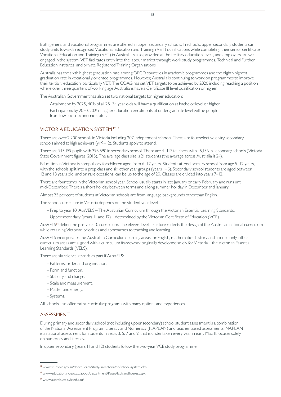Both general and vocational programmes are offered in upper secondary schools. In schools, upper secondary students can study units towards recognised Vocational Education and Training (VET) qualifications while completing their senior certificate. Vocational Education and Training (VET) in Australia is also provided at the tertiary education levels, and employers are well engaged in the system. VET facilitates entry into the labour market through; work study programmes, Technical and Further Education institutes, and private Registered Training Organisations.

Australia has the sixth highest graduation rate among OECD countries in academic programmes and the eighth highest graduation rate in vocationally oriented programmes. However, Australia is continuing to work on programmes to improve their tertiary education, particularly VET. The COAG has set VET targets to be achieved by 2020 including reaching a position where over three quarters of working age Australians have a Certificate III level qualification or higher.

The Australian Government has also set two national targets for higher education:

- Attainment: by 2025, 40% of all 25–34 year olds will have a qualification at bachelor level or higher.
- Participation: by 2020, 20% of higher education enrolments at undergraduate level will be people from low socio-economic status.

## VICTORIA EDUCATION SYSTEM 12 13

There are over 2,200 schools in Victoria including 207 independent schools. There are four selective entry secondary schools aimed at high achievers (yr 9–12). Students apply to attend.

There are 915,159 pupils with 393,590 in secondary school. There are 41,117 teachers with 15,136 in secondary schools (Victoria State Government figures, 2015). The average class size is 21 students (the average across Australia is 24).

Education in Victoria is compulsory for children aged from 6–17 years. Students attend primary school from age 5–12 years, with the schools split into a prep class and six other year groups (years 1–6). Secondary school students are aged between 12 and 18 years old, and on rare occasions, can be up to the age of 20. Classes are divided into years 7–12.

There are four terms in the Victorian school year. School usually starts in late January or early February and runs until mid-December. There's a short holiday between terms and a long summer holiday in December and January.

Almost 25 per cent of students at Victorian schools are from language backgrounds other than English.

The school curriculum in Victoria depends on the student year level:

- Prep to year 10: AusVELS The Australian Curriculum through the Victorian Essential Learning Standards.
- Upper secondary (years 11 and 12) determined by the Victorian Certificate of Education (VCE).

AusVELS<sup>14</sup> define the pre-year 10 curriculum. The eleven-level structure reflects the design of the Australian national curriculum while retaining Victorian priorities and approaches to teaching and learning.

AusVELS incorporates the Australian Curriculum learning areas for English, mathematics, history and science only, other curriculum areas are aligned with a curriculum framework originally developed solely for Victoria – the Victorian Essential Learning Standards (VELS).

There are six science strands as part if AusVELS:

- Patterns, order and organisation.
- Form and function.
- Stability and change.
- Scale and measurement.
- Matter and energy.
- Systems.

All schools also offer extra-curricular programs with many options and experiences.

#### ASSESSMENT

During primary and secondary school (not including upper secondary) school student assessment is a combination of the National Assessment Program Literacy and Numeracy (NAPLAN) and teacher based assessments. NAPLAN is a national assessment for students in years 3, 5, 7 and 9, that is undertaken every year in early May. It focuses solely on numeracy and literacy.

In upper secondary (years 11 and 12) students follow the two-year VCE study programme.

<sup>12</sup> www.study.vic.gov.au/deecd/learn/study-in-victoria/en/school-system.cfm

<sup>13</sup> www.education.vic.gov.au/about/department/Pages/factsandfigures.aspx

<sup>14</sup> www.ausvels.vcaa.vic.edu.au/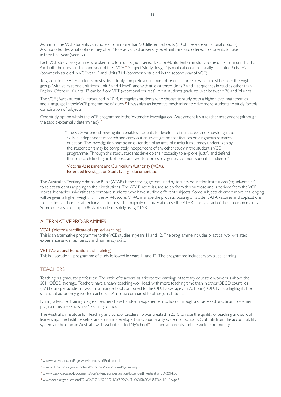As part of the VCE students can choose from more than 90 different subjects (30 of these are vocational options). A school decides what options they offer. More advanced university level units are also offered to students to take in their final year (year 12).

Each VCE study programme is broken into four units (numbered 1,2,3 or 4). Students can study some units from unit 1,2,3 or 4 in both their first and second year of their VCE.<sup>15</sup> Subject 'study designs' (specifications) are usually split into Units 1+2 (commonly studied in VCE year 1) and Units 3+4 (commonly studied in the second year of VCE).

To graduate the VCE students must satisfactorily complete a minimum of 16 units, three of which must be from the English group (with at least one unit from Unit 3 and 4 level), and with at least three Units 3 and 4 sequences in studies other than English. Of these 16 units, 13 can be from VET (vocational courses). Most students graduate with between 20 and 24 units.

The VCE (Baccalaureate), introduced in 2014, recognises students who choose to study both a higher level mathematics and a language in their VCE programme of study.<sup>16</sup> It was also an incentive mechanism to drive more students to study for this combination of subjects.

One study option within the VCE programme is the 'extended investigation'. Assessment is via teacher assessment (although the task is externally determined).<sup>17</sup>

> "The VCE Extended Investigation enables students to develop, refine and extend knowledge and skills in independent research and carry out an investigation that focuses on a rigorous research question. The investigation may be an extension of an area of curriculum already undertaken by the student or it may be completely independent of any other study in the student's VCE programme. Through this study, students develop their capacity to explore, justify and defend their research findings in both oral and written forms to a general, or non-specialist audience"

Victoria Assessment and Curriculum Authority (VCA), Extended Investigation Study Design documentation

The Australian Tertiary Admission Rank (ATAR) is the scoring system used by tertiary education institutions (eg universities) to select students applying to their institutions. The ATAR score is used solely from this purpose and is derived from the VCE scores. It enables universities to compare students who have studied different subjects. Some subjects deemed more challenging will be given a higher weighting in the ATAR score. VTAC manage the process, passing on student ATAR scores and applications to selection authorities at tertiary institutions. The majority of universities use the ATAR score as part of their decision making. Some courses select up to 80% of students solely using ATAR.

## ALTERNATIVE PROGRAMMES

#### VCAL (Victoria certificate of applied learning)

This is an alternative programme to the VCE studies in years 11 and 12. The programme includes practical work-related experience as well as literacy and numeracy skills.

#### VET (Vocational Education and Training)

This is a vocational programme of study followed in years 11 and 12. The programme includes workplace learning.

## **TEACHERS**

Teaching is a graduate profession. The ratio of teachers' salaries to the earnings of tertiary educated workers is above the 2011 OECD average. Teachers have a heavy teaching workload, with more teaching time than in other OECD countries (873 hours per academic year in primary school compared to the OECD average of 790 hours). OECD data highlights the significant autonomy given to teachers in Australia compared to other jurisdictions.

During a teacher training degree, teachers have hands-on experience in schools through a supervised practicum placement programme, also known as 'teaching rounds'.

The Australian Institute for Teaching and School Leadership was created in 2010 to raise the quality of teaching and school leadership. The Institute sets standards and developed an accountability system for schools. Outputs from the accountability system are held on an Australia wide website called MySchool<sup>18</sup> – aimed at parents and the wider community.

<sup>15</sup> www.vcaa.vic.edu.au/Pages/vce/index.aspx?Redirect=1

<sup>16</sup> www.education.vic.gov.au/school/principals/curriculum/Pages/ib.aspx

<sup>17</sup> www.vcaa.vic.edu.au/Documents/vce/extendedinvestigation/ExtendedInvestigationSD-2014.pdf

<sup>18</sup> www.oecd.org/education/EDUCATION%20POLICY%20OUTLOOK%20AUSTRALIA\_EN.pdf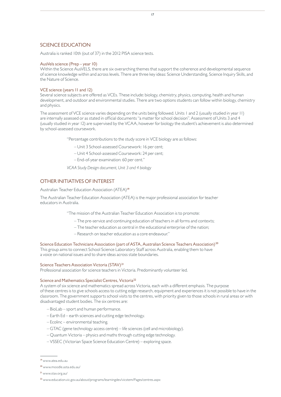#### SCIENCE EDUCATION

Australia is ranked 10th (out of 37) in the 2012 PISA science tests.

#### AusVels science (Prep – year 10)

Within the Science AusVELS, there are six overarching themes that support the coherence and developmental sequence of science knowledge within and across levels. There are three key ideas: Science Understanding, Science Inquiry Skills, and the Nature of Science.

#### VCE science (years 11 and 12)

Several science subjects are offered as VCEs. These include: biology, chemistry, physics, computing, health and human development, and outdoor and environmental studies. There are two options students can follow within biology, chemistry and physics.

The assessment of VCE science varies depending on the units being followed. Units 1 and 2 (usually studied in year 11) are internally assessed or as stated in official documents "a matter for school decision". Assessment of Units 3 and 4 (usually studied in year 12) are supervised by the VCAA, however for biology the student's achievement is also determined by school-assessed coursework.

"Percentage contributions to the study score in VCE biology are as follows:

- Unit 3 School-assessed Coursework: 16 per cent;
- Unit 4 School-assessed Coursework: 24 per cent;
- End-of-year examination: 60 per cent."

*VCAA Study Design document, Unit 3 and 4 biology*

#### OTHER INITIATIVES OF INTEREST

Australian Teacher Education Association (ATEA)<sup>19</sup>

The Australian Teacher Education Association (ATEA) is the major professional association for teacher educators in Australia.

"The mission of the Australian Teacher Education Association is to promote:

- The pre-service and continuing education of teachers in all forms and contexts;
- The teacher education as central in the educational enterprise of the nation;
- Research on teacher education as a core endeavour."

#### Science Education Technicians Association (part of ASTA, Australian Science Teachers Association)<sup>20</sup>

This group aims to connect School Science Laboratory Staff across Australia, enabling them to have a voice on national issues and to share ideas across state boundaries.

#### Science Teachers Association Victoria (STAV)<sup>21</sup>

Professional association for science teachers in Victoria. Predominantly volunteer led.

## Science and Mathematics Specialist Centres, Victoria<sup>22</sup>

A system of six science and mathematics spread across Victoria, each with a different emphasis. The purpose of these centres is to give schools access to cutting edge research, equipment and experiences it is not possible to have in the classroom. The government supports school visits to the centres, with priority given to those schools in rural areas or with disadvantaged student bodies. The six centres are:

- BioLab sport and human performance.
- Earth Ed earth sciences and cutting edge technology.
- Ecolinc environmental teaching.
- GTAC (gene technology access centre) life sciences (cell and microbiology).
- Quantum Victoria physics and maths through cutting edge technology.
- VSSEC (Victorian Space Science Education Centre) exploring space.

<sup>19</sup> www.atea.edu.au

<sup>20</sup> www.moodle.asta.edu.au/

<sup>21</sup> www.stav.org.au/

<sup>22</sup> www.education.vic.gov.au/about/programs/learningdev/vicstem/Pages/centres.aspx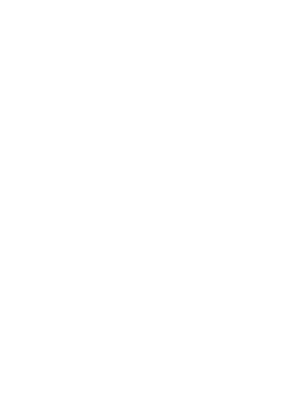# APPENDIX 3: COUNTRY REPORT: FINLAND

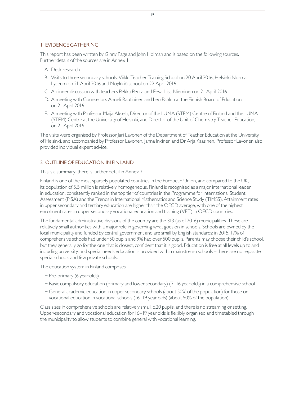## 1 EVIDENCE GATHERING

This report has been written by Ginny Page and John Holman and is based on the following sources. Further details of the sources are in Annex 1.

- A. Desk research.
- B. Visits to three secondary schools, Viikki Teacher Training School on 20 April 2016, Helsinki Normal Lyceum on 21 April 2016 and Nöykkiö school on 22 April 2016.
- C. A dinner discussion with teachers Pekka Peura and Eeva-Lisa Nieminen on 21 April 2016.
- D. A meeting with Counsellors Anneli Rautiainen and Leo Pahkin at the Finnish Board of Education on 21 April 2016.
- E. A meeting with Professor Maija Aksela, Director of the LUMA (STEM) Centre of Finland and the LUMA (STEM) Centre at the University of Helsinki, and Director of the Unit of Chemistry Teacher Education, on 21 April 2016.

The visits were organised by Professor Jari Lavonen of the Department of Teacher Education at the University of Helsinki, and accompanied by Professor Lavonen, Janna Inkinen and Dr Arja Kaasinen. Professor Lavonen also provided individual expert advice.

# 2 OUTLINE OF EDUCATION IN FINLAND

This is a summary: there is further detail in Annex 2.

Finland is one of the most sparsely populated countries in the European Union, and compared to the UK, its population of 5.5 million is relatively homogeneous. Finland is recognised as a major international leader in education, consistently ranked in the top tier of countries in the Programme for International Student Assessment (PISA) and the Trends in International Mathematics and Science Study (TIMSS). Attainment rates in upper secondary and tertiary education are higher than the OECD average, with one of the highest enrolment rates in upper secondary vocational education and training (VET) in OECD countries.

The fundamental administrative divisions of the country are the 313 (as of 2016) municipalities. These are relatively small authorities with a major role in governing what goes on in schools. Schools are owned by the local municipality and funded by central government and are small by English standards: in 2015, 17% of comprehensive schools had under 50 pupils and 9% had over 500 pupils. Parents may choose their child's school, but they generally go for the one that is closest, confident that it is good. Education is free at all levels up to and including university, and special needs education is provided within mainstream schools – there are no separate special schools and few private schools.

The education system in Finland comprises:

- − Pre-primary (6 year olds).
- − Basic compulsory education (primary and lower secondary) (7–16 year olds) in a comprehensive school.
- − General academic education in upper secondary schools (about 50% of the population) for those or vocational education in vocational schools (16–19 year olds) (about 50% of the population).

Class sizes in comprehensive schools are relatively small, c.20 pupils, and there is no streaming or setting. Upper-secondary and vocational education for 16–19 year olds is flexibly organised and timetabled through the municipality to allow students to combine general with vocational learning.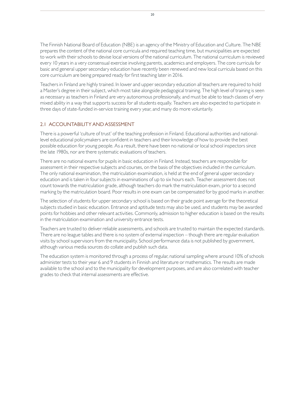The Finnish National Board of Education (NBE) is an agency of the Ministry of Education and Culture. The NBE prepares the content of the national core curricula and required teaching time, but municipalities are expected to work with their schools to devise local versions of the national curriculum. The national curriculum is reviewed every 10 years in a very consensual exercise involving parents, academics and employers. The core curricula for basic and general upper secondary education have recently been renewed and new local curricula based on this core curriculum are being prepared ready for first teaching later in 2016.

Teachers in Finland are highly trained. In lower and upper secondary education all teachers are required to hold a Master's degree in their subject, which most take alongside pedagogical training. The high level of training is seen as necessary as teachers in Finland are very autonomous professionally, and must be able to teach classes of very mixed ability in a way that supports success for all students equally. Teachers are also expected to participate in three days of state-funded in-service training every year, and many do more voluntarily.

# 2.1 ACCOUNTABILITY AND ASSESSMENT

There is a powerful 'culture of trust' of the teaching profession in Finland. Educational authorities and nationallevel educational policymakers are confident in teachers and their knowledge of how to provide the best possible education for young people. As a result, there have been no national or local school inspectors since the late 1980s, nor are there systematic evaluations of teachers.

There are no national exams for pupils in basic education in Finland. Instead, teachers are responsible for assessment in their respective subjects and courses, on the basis of the objectives included in the curriculum. The only national examination, the matriculation examination, is held at the end of general upper secondary education and is taken in four subjects in examinations of up to six hours each. Teacher assessment does not count towards the matriculation grade, although teachers do mark the matriculation exam, prior to a second marking by the matriculation board. Poor results in one exam can be compensated for by good marks in another.

The selection of students for upper secondary school is based on their grade point average for the theoretical subjects studied in basic education. Entrance and aptitude tests may also be used, and students may be awarded points for hobbies and other relevant activities. Commonly, admission to higher education is based on the results in the matriculation examination and university entrance tests.

Teachers are trusted to deliver reliable assessments, and schools are trusted to maintain the expected standards. There are no league tables and there is no system of external inspection – though there are regular evaluation visits by school supervisors from the municipality. School performance data is not published by government, although various media sources do collate and publish such data.

The education system is monitored through a process of regular, national sampling where around 10% of schools administer tests to their year 6 and 9 students in Finnish and literature or mathematics. The results are made available to the school and to the municipality for development purposes, and are also correlated with teacher grades to check that internal assessments are effective.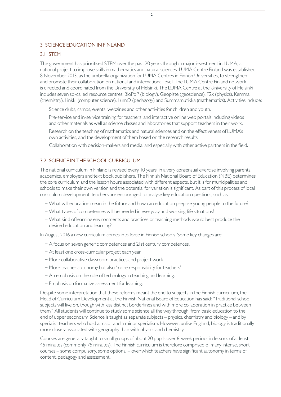# 3 SCIENCE EDUCATION IN FINLAND

# 3.1 STEM

The government has prioritised STEM over the past 20 years through a major investment in LUMA, a national project to improve skills in mathematics and natural sciences. LUMA Centre Finland was established 8 November 2013, as the umbrella organization for LUMA Centres in Finnish Universities, to strengthen and promote their collaboration on national and international level. The LUMA Centre Finland network is directed and coordinated from the University of Helsinki. The LUMA Centre at the University of Helsinki includes seven so-called resource centres: BioPoP (biology), Geopiste (geoscience), F2k (physics), Kemma (chemistry), Linkki (computer science), LumO (pedagogy) and Summamutikka (mathematics). Activities include:

- − Science clubs, camps, events, webzines and other activities for children and youth.
- − Pre-service and in-service training for teachers, and interactive online web portals including videos and other materials as well as science classes and laboratories that support teachers in their work.
- − Research on the teaching of mathematics and natural sciences and on the effectiveness of LUMA's own activities, and the development of them based on the research results.
- − Collaboration with decision-makers and media, and especially with other active partners in the field.

# 3.2 SCIENCE IN THE SCHOOL CURRICULUM

The national curriculum in Finland is revised every 10 years, in a very consensual exercise involving parents, academics, employers and text book publishers. The Finnish National Board of Education (NBE) determines the core curriculum and the lesson hours associated with different aspects, but it is for municipalities and schools to make their own version and the potential for variation is significant. As part of this process of local curriculum development, teachers are encouraged to analyse key education questions, such as:

- − What will education mean in the future and how can education prepare young people to the future?
- − What types of competences will be needed in everyday and working-life situations?
- − What kind of learning environments and practices or teaching methods would best produce the desired education and learning?

In August 2016 a new curriculum comes into force in Finnish schools. Some key changes are:

- − A focus on seven generic competences and 21st century competences.
- − At least one cross-curricular project each year.
- − More collaborative classroom practices and project work.
- − More teacher autonomy but also 'more responsibility for teachers'.
- − An emphasis on the role of technology in teaching and learning.
- − Emphasis on formative assessment for learning.

Despite some interpretation that these reforms meant the end to subjects in the Finnish curriculum, the Head of Curriculum Development at the Finnish National Board of Education has said: "Traditional school subjects will live on, though with less distinct borderlines and with more collaboration in practice between them". All students will continue to study some science all the way through, from basic education to the end of upper secondary. Science is taught as separate subjects – physics, chemistry and biology – and by specialist teachers who hold a major and a minor specialism. However, unlike England, biology is traditionally more closely associated with geography than with physics and chemistry.

Courses are generally taught to small groups of about 20 pupils over 6-week periods in lessons of at least 45 minutes (commonly 75 minutes). The Finnish curriculum is therefore comprised of many intense, short courses – some compulsory, some optional – over which teachers have significant autonomy in terms of content, pedagogy and assessment.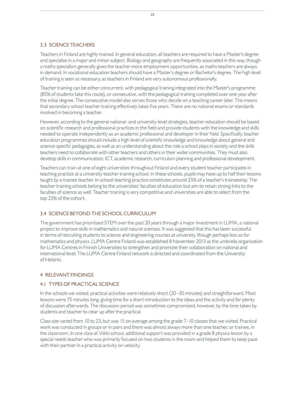## 3.3 SCIENCE TEACHERS

Teachers in Finland are highly trained. In general education, all teachers are required to have a Master's degree and specialise in a major and minor subject. Biology and geography are frequently associated in this way, though a maths specialism generally gives the teacher more employment opportunities, as maths teachers are always in demand. In vocational education teachers should have a Master's degree or Bachelor's degree. The high level of training is seen as necessary, as teachers in Finland are very autonomous professionally.

Teacher training can be either concurrent, with pedagogical training integrated into the Master's programme (85% of students take this route), or consecutive, with the pedagogical training completed over one year after the initial degree. The consecutive model also serves those who decide on a teaching career later. This means that secondary school teacher training effectively takes five years. There are no national exams or standards involved in becoming a teacher.

However, according to the general national- and university-level strategies, teacher education should be based on scientific research and professional practices in the field and provide students with the knowledge and skills needed to operate independently as an academic professional and developer in their field. Specifically, teacher education programmes should include a high level of scientific knowledge and knowledge about general and science-specific pedagogies, as well as an understanding about the role a school plays in society and the skills teachers need to collaborate with other teachers and others in their wider communities. They must also develop skills in communication, ICT, academic research, curriculum planning and professional development.

Teachers can train at one of eight universities throughout Finland and every student teacher participates in teaching practice at a university teacher training school. In these schools, pupils may have up to half their lessons taught by a trainee teacher. In-school teaching practice constitutes around 25% of a teacher's traineeship. The teacher training schools belong to the universities' faculties of education but aim to retain strong links to the faculties of science as well. Teacher training is very competitive and universities are able to select from the top 25% of the cohort.

# 3.4 SCIENCE BEYOND THE SCHOOL CURRICULUM

The government has prioritised STEM over the past 20 years through a major investment in LUMA, a national project to improve skills in mathematics and natural sciences. It was suggested that this has been successful in terms of recruiting students to science and engineering courses at university, though perhaps less so for mathematics and physics. LUMA Centre Finland was established 8 November 2013 as the umbrella organisation for LUMA Centres in Finnish Universities to strengthen and promote their collaboration on national and international level. The LUMA Centre Finland network is directed and coordinated from the University of Helsinki.

## 4 RELEVANT FINDINGS

# 4.1 TYPES OF PRACTICAL SCIENCE

In the schools we visited, practical activities were relatively short (20–30 minutes) and straightforward. Most lessons were 75 minutes long, giving time for a short introduction to the ideas and the activity and for plenty of discussion afterwards. The discussion period was sometimes compromised, however, by the time taken by students and teacher to clear up after the practical.

Class size varied from 10 to 23, but was 15 on average among the grade 7–10 classes that we visited. Practical work was conducted in groups or in pairs and there was almost always more than one teacher, or trainee, in the classroom. In one class at Viikki school, additional support was provided in a grade 8 physics lesson by a special needs teacher who was primarily focused on two students in the room and helped them to keep pace with their partner in a practical activity on velocity.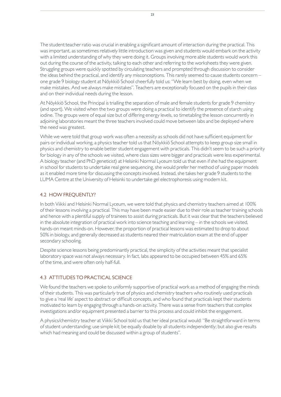The student:teacher ratio was crucial in enabling a significant amount of interaction during the practical. This was important, as sometimes relatively little introduction was given and students would embark on the activity with a limited understanding of why they were doing it. Groups involving more able students would work this out during the course of the activity, talking to each other and referring to the worksheets they were given. Struggling groups were quickly spotted by circulating teachers and prompted through discussion to consider the ideas behind the practical, and identify any misconceptions. This rarely seemed to cause students concern – one grade 9 biology student at Nöykkiö School cheerfully told us: "We learn best by doing, even when we make mistakes. And we always make mistakes". Teachers are exceptionally focused on the pupils in their class and on their individual needs during the lesson.

At Nöykkiö School, the Principal is trialling the separation of male and female students for grade 9 chemistry (and sport). We visited when the two groups were doing a practical to identify the presence of starch using iodine. The groups were of equal size but of differing energy levels, so timetabling the lesson concurrently in adjoining laboratories meant the three teachers involved could move between labs and be deployed where the need was greatest.

While we were told that group work was often a necessity as schools did not have sufficient equipment for pairs or individual working, a physics teacher told us that Nöykkiö School attempts to keep group size small in physics and chemistry to enable better student engagement with practicals. This didn't seem to be such a priority for biology in any of the schools we visited, where class sizes were bigger and practicals were less experimental. A biology teacher (and PhD geneticist) at Helsinki Normal Lyceum told us that even if she had the equipment in school for students to undertake real gene sequencing, she would prefer her method of using paper models as it enabled more time for discussing the concepts involved. Instead, she takes her grade 9 students to the LUMA Centre at the University of Helsinki to undertake gel electrophoresis using modern kit.

# 4.2 HOW FREQUENTLY?

In both Viikki and Helsinki Normal Lyceum, we were told that physics and chemistry teachers aimed at 100% of their lessons involving a practical. This may have been made easier due to their role as teacher training schools and hence with a plentiful supply of trainees to assist during practicals. But it was clear that the teachers believed in the absolute integration of practical work into science teaching and learning – in the schools we visited, hands-on meant minds-on. However, the proportion of practical lessons was estimated to drop to about 50% in biology, and generally decreased as students neared their matriculation exam at the end of upper secondary schooling.

Despite science lessons being predominantly practical, the simplicity of the activities meant that specialist laboratory space was not always necessary. In fact, labs appeared to be occupied between 45% and 65% of the time, and were often only half-full.

# 4.3 ATTITUDES TO PRACTICAL SCIENCE

We found the teachers we spoke to uniformly supportive of practical work as a method of engaging the minds of their students. This was particularly true of physics and chemistry teachers who routinely used practicals to give a 'real life' aspect to abstract or difficult concepts, and who found that practicals kept their students motivated to learn by engaging through a hands-on activity. There was a sense from teachers that complex investigations and/or equipment presented a barrier to this process and could inhibit the engagement.

A physics/chemistry teacher at Viikki School told us that her ideal practical would: "Be straightforward in terms of student understanding; use simple kit; be equally doable by all students independently; but also give results which had meaning and could be discussed within a group of students".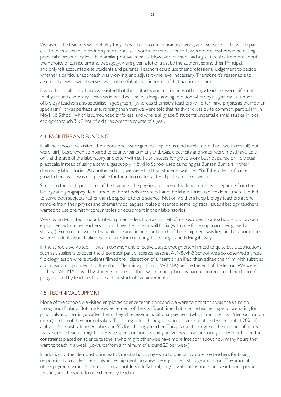We asked the teachers we met why they chose to do so much practical work, and we were told it was in part due to the success of introducing more practical work in primary science. It was not clear whether increasing practical at secondary level had similar positive impacts. However teachers had a great deal of freedom about their choice of curriculum and pedagogy, were given a lot of trust by the authorities and their Principal, and only felt accountable to students and parents. Teachers could use their professional judgement to decide whether a particular approach was working, and adjust it wherever necessary. Therefore it's reasonable to assume that what we observed was successful, at least in terms of that particular school.

It was clear in all the schools we visited that the attitudes and motivations of biology teachers were different to physics and chemistry. This was in part because of a longstanding tradition whereby a significant number of biology teachers also specialise in geography (whereas chemistry teachers will often have physics as their other specialism). It was perhaps unsurprising then that we were told that fieldwork was quite common, particularly in Nöykkiö School, which is surrounded by forest, and where all grade 8 students undertake small studies in local ecology through 3 x 3 hour field trips over the course of a year.

# 4.4 FACILITIES AND FUNDING

In all the schools we visited, the laboratories were generally spacious (and rarely more than two thirds full) but were fairly basic when compared to counterparts in England. Gas, electricity and water were mostly available only at the side of the laboratory, and often with sufficient access for group work but not paired or individual practicals. Instead of using a central gas supply, Nöykkiö School used camping gas Bunsen Burners in their chemistry laboratories. At another school, we were told that students watched YouTube videos of bacterial growth because it was not possible for them to create bacterial plates in their own labs.

Similar to the joint specialisms of the teachers, the physics and chemistry department was separate from the biology and geography department in the schools we visited, and the laboratories in each department tended to serve both subjects rather than be specific to one science. Not only did this keep biology teachers at one remove from their physics and chemistry colleagues, it also presented some logistical issues if biology teachers wanted to use chemistry consumables or equipment in their laboratories.

We saw quite limited amounts of equipment – less than a class set of microscopes in one school – and broken equipment which the teachers did not have the time or skill to fix (with one fume cupboard being used as storage). Prep rooms were of variable size and tidiness, but much of the equipment was kept in the laboratories where students would take responsibility for collecting it, cleaning it and tidying it away.

In the schools we visited, IT was in common and effective usage, though often limited to quite basic applications such as visualisers to cover the theoretical part of science lessons. At Nöykkiö School, we also observed a grade 9 biology lesson where students filmed their dissection of a heart on an iPad, then edited their film with subtitles and music and uploaded it to the schools' learning platform (WILMA) before the end of the lesson. We were told that WILMA is used by students to keep all their work in one place, by parents to monitor their children's progress, and by teachers to assess their students' achievements.

# 4.5 TECHNICAL SUPPORT

None of the schools we visited employed science technicians and we were told that this was the situation throughout Finland. But in acknowledgement of the significant time that science teachers spend preparing for practicals and clearing up after them, they all receive an additional payment (which translates as a 'demonstration extra') on top of their normal salary. This is regulated through a national agreement, and works out at 20% of a physics/chemistry teacher salary and 5% for a biology teacher. This payment recognises the number of hours that a science teacher might otherwise spend on non-teaching activities such as preparing experiments, and the constraints placed on science teachers who might otherwise have more freedom about how many hours they want to teach in a week (upwards from a minimum of around 20 per week).

In addition to the 'demonstration extra', most schools pay extra to one or two science teachers for taking responsibility to order chemicals and equipment, organise the equipment storage and so on. The amount of this payment varies from school to school. In Viikki School, they pay about 16 hours per year to one physics teacher, and the same to one chemistry teacher.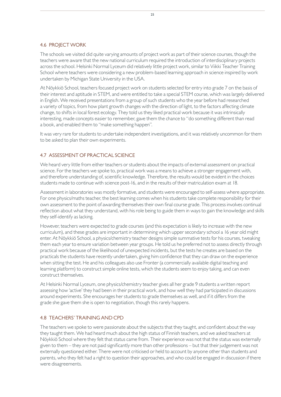## 4.6 PROJECT WORK

The schools we visited did quite varying amounts of project work as part of their science courses, though the teachers were aware that the new national curriculum required the introduction of interdisciplinary projects across the school. Helsinki Normal Lyceum did relatively little project work, similar to Viikki Teacher Training School where teachers were considering a new problem-based learning approach in science inspired by work undertaken by Michigan State University in the USA.

At Nöykkiö School, teachers focused project work on students selected for entry into grade 7 on the basis of their interest and aptitude in STEM, and were entitled to take a special STEM course, which was largely delivered in English. We received presentations from a group of such students who the year before had researched a variety of topics, from how plant growth changes with the direction of light, to the factors affecting climate change, to shifts in local forest ecology. They told us they liked practical work because it was intrinsically interesting, made concepts easier to remember, gave them the chance to "do something different than read a book, and enabled them to "make something happen".

It was very rare for students to undertake independent investigations, and it was relatively uncommon for them to be asked to plan their own experiments.

# 4.7 ASSESSMENT OF PRACTICAL SCIENCE

We heard very little from either teachers or students about the impacts of external assessment on practical science. For the teachers we spoke to, practical work was a means to achieve a stronger engagement with, and therefore understanding of, scientific knowledge. Therefore, the results would be evident in the choices students made to continue with science post-16, and in the results of their matriculation exam at 18.

Assessment in laboratories was mostly formative, and students were encouraged to self-assess where appropriate. For one physics/maths teacher, the best learning comes when his students take complete responsibility for their own assessment to the point of awarding themselves their own final course grade. This process involves continual reflection about what they understand, with his role being to guide them in ways to gain the knowledge and skills they self-identify as lacking.

However, teachers were expected to grade courses (and this expectation is likely to increase with the new curriculum), and these grades are important in determining which upper secondary school a 16 year old might enter. At Nöykkiö School, a physics/chemistry teacher designs simple summative tests for his courses, tweaking them each year to ensure variation between year groups. He told us he preferred not to assess directly through practical work because of the likelihood of unexpected incidents, but the tests he creates are based on the practicals the students have recently undertaken, giving him confidence that they can draw on the experience when sitting the test. He and his colleagues also use Fronter (a commercially available digital teaching and learning platform) to construct simple online tests, which the students seem to enjoy taking, and can even construct themselves.

At Helsinki Normal Lyceum, one physics/chemistry teacher gives all her grade 9 students a written report assessing how 'active' they had been in their practical work, and how well they had participated in discussions around experiments. She encourages her students to grade themselves as well, and if it differs from the grade she gave them she is open to negotiation, though this rarely happens.

# 4.8 TEACHERS' TRAINING AND CPD

The teachers we spoke to were passionate about the subjects that they taught, and confident about the way they taught them. We had heard much about the high status of Finnish teachers, and we asked teachers at Nöykkiö School where they felt that status came from. Their experience was not that the status was externally given to them – they are not paid significantly more than other professions – but that their judgement was not externally questioned either. There were not criticised or held to account by anyone other than students and parents, who they felt had a right to question their approaches, and who could be engaged in discussion if there were disagreements.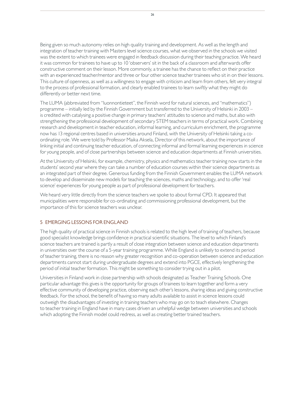Being given so much autonomy relies on high quality training and development. As well as the length and integration of teacher training with Masters level science courses, what we observed in the schools we visited was the extent to which trainees were engaged in feedback discussion during their teaching practice. We heard it was common for trainees to have up to 10 'observers' sit in the back of a classroom and afterwards offer constructive comment on their lesson. More commonly, a trainee has the chance to reflect on their practice with an experienced teacher/mentor and three or four other science teacher trainees who sit in on their lessons. This culture of openness, as well as a willingness to engage with criticism and learn from others, felt very integral to the process of professional formation, and clearly enabled trainees to learn swiftly what they might do differently or better next time.

The LUMA (abbreviated from "luonnontieteet", the Finnish word for natural sciences, and "mathematics") programme – initially led by the Finnish Government but transferred to the University of Helsinki in 2003 – is credited with catalysing a positive change in primary teachers' attitudes to science and maths, but also with strengthening the professional development of secondary STEM teachers in terms of practical work. Combining research and development in teacher education, informal learning, and curriculum enrichment, the programme now has 13 regional centres based in universities around Finland, with the University of Helsinki taking a coordinating role. We were told by Professor Maika Aksela, Director of this network, about the importance of linking initial and continuing teacher education, of connecting informal and formal learning experiences in science for young people, and of close partnerships between science and education departments at Finnish universities.

At the University of Helsinki, for example, chemistry, physics and mathematics teacher training now starts in the students' second year where they can take a number of education courses within their science departments as an integrated part of their degree. Generous funding from the Finnish Government enables the LUMA network to develop and disseminate new models for teaching the sciences, maths and technology, and to offer 'real science' experiences for young people as part of professional development for teachers.

We heard very little directly from the science teachers we spoke to about formal CPD. It appeared that municipalities were responsible for co-ordinating and commissioning professional development, but the importance of this for science teachers was unclear.

## 5 EMERGING LESSONS FOR ENGLAND

The high quality of practical science in Finnish schools is related to the high level of training of teachers, because good specialist knowledge brings confidence in practical scientific situations. The level to which Finland's science teachers are trained is partly a result of close integration between science and education departments in universities over the course of a 5-year training programme. While England is unlikely to extend its period of teacher training, there is no reason why greater recognition and co-operation between science and education departments cannot start during undergraduate degrees and extend into PGCE, effectively lengthening the period of initial teacher formation. This might be something to consider trying out in a pilot.

Universities in Finland work in close partnership with schools designated as Teacher Training Schools. One particular advantage this gives is the opportunity for groups of trainees to learn together and form a very effective community of developing practice, observing each other's lessons, sharing ideas and giving constructive feedback. For the school, the benefit of having so many adults available to assist in science lessons could outweigh the disadvantages of investing in training teachers who may go on to teach elsewhere. Changes to teacher training in England have in many cases driven an unhelpful wedge between universities and schools which adopting the Finnish model could redress, as well as creating better trained teachers.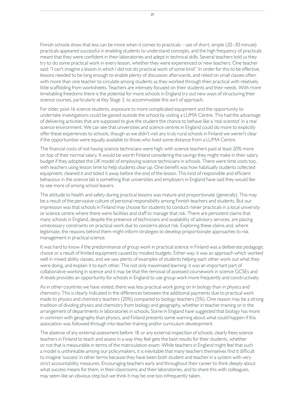Finnish schools show that less can be more when it comes to practicals – use of short, simple (20–30 minute) practicals appeared successful in enabling students to understand concepts, and the high frequency of practicals meant that they were confident in their laboratories and adept in technical skills. Several teachers told us they try to do some practical work in every lesson, whether they were experienced or new teachers. One teacher said: "I can't imagine a lesson in which I did not do practical work of some kind". In order for this to be effective, lessons needed to be long enough to enable plenty of discussion afterwards, and relied on small classes often with more than one teacher to circulate among students as they worked through their practical with relatively little scaffolding from worksheets. Teachers are intensely focused on their students and their needs. With more timetabling freedoms there is the potential for more schools in England try out new ways of structuring their science courses, particularly at Key Stage 3, to accommodate this sort of approach.

For older, post-16 science students, exposure to more complicated equipment and the opportunity to undertake investigations could be gained outside the school by visiting a LUMA Centre. This had the advantage of delivering activities that are supposed to give the student the chance to behave like a 'real scientist' in a real science environment. We can see that universities and science centres in England could do more to explicitly offer these experiences to schools, though as we didn't visit any truly rural schools in Finland we weren't clear if the opportunities were equally available to those who lived some distance from a LUMA Centre.

The financial costs of not having science technicians were high; with science teachers paid at least 20% more on top of their normal salary. It would be worth Finland considering the savings they might make in their salary budget if they adopted the UK model of employing science technicians in schools. There were time costs too, with teachers using lesson time to help students clear up. One benefit was how habitually students collected equipment, cleaned it and tidied it away before the end of the lesson. This kind of responsible and efficient behaviour in the science lab is something that universities and employers in England have said they would like to see more of among school leavers.

The attitude to health and safety during practical lessons was mature and proportionate (generally). This may be a result of the pervasive culture of personal responsibility among Finnish teachers and students. But our impression was that schools in Finland may choose for students to conduct riskier practicals in a local university or science centre where there were facilities and staff to manage that risk. There are persistent claims that many schools in England, despite the presence of technicians and availability of advisory services, are placing unnecessary constraints on practical work due to concerns about risk. Exploring these claims and, where legitimate, the reasons behind them might inform strategies to develop proportionate approaches to risk management in practical science.

It was hard to know if the predominance of group work in practical science in Finland was a deliberate pedagogic choice or a result of limited equipment caused by modest budgets. Either way, it was an approach which worked well in mixed ability classes, and we saw plenty of examples of students helping each other work out what they were doing, and explain it to each other. This not only maximised learning: it was an important part of collaborative working in science and it may be that the removal of assessed coursework in science GCSEs and A levels provides an opportunity for schools in England to use group work more frequently and constructively.

As in other countries we have visited, there was less practical work going on in biology than in physics and chemistry. This is clearly indicated in the differences between the additional payments due to practical work made to physics and chemistry teachers (20%) compared to biology teachers (5%). One reason may be a strong tradition of dividing physics and chemistry from biology and geography, whether in teacher training or in the arrangement of departments in laboratories in schools. Some in England have suggested that biology has more in common with geography than physics, and Finland presents some warning about what could happen if this association was followed through into teacher training and/or curriculum development.

The absence of any external assessment before 18, or any external inspection of schools, clearly frees science teachers in Finland to teach and assess in a way they feel gets the best results for their students, whether or not that is measurable in terms of the matriculation exam. While teachers in England might feel that such a model is unthinkable among our policymakers, it is inevitable that many teachers themselves find it difficult to imagine 'success' in other terms because they have been both student and teacher in a system with very strict accountability measures. Encouraging teachers early and throughout their career to think deeply about what success means for them, in their classrooms and their laboratories, and to share this with colleagues, may seem like an obvious step but we think it may be one too infrequently taken.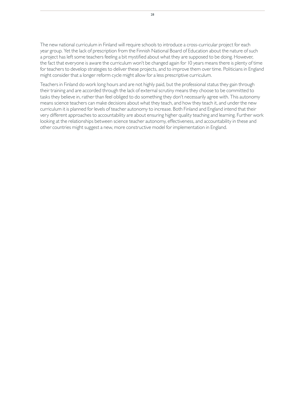The new national curriculum in Finland will require schools to introduce a cross-curricular project for each year group. Yet the lack of prescription from the Finnish National Board of Education about the nature of such a project has left some teachers feeling a bit mystified about what they are supposed to be doing. However, the fact that everyone is aware the curriculum won't be changed again for 10 years means there is plenty of time for teachers to develop strategies to deliver these projects, and to improve them over time. Politicians in England might consider that a longer reform cycle might allow for a less prescriptive curriculum.

Teachers in Finland do work long hours and are not highly paid, but the professional status they gain through their training and are accorded through the lack of external scrutiny means they choose to be committed to tasks they believe in, rather than feel obliged to do something they don't necessarily agree with. This autonomy means science teachers can make decisions about what they teach, and how they teach it, and under the new curriculum it is planned for levels of teacher autonomy to increase. Both Finland and England intend that their very different approaches to accountability are about ensuring higher quality teaching and learning. Further work looking at the relationships between science teacher autonomy, effectiveness, and accountability in these and other countries might suggest a new, more constructive model for implementation in England.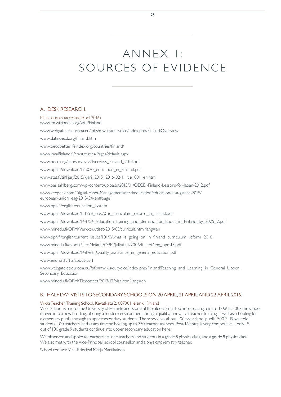# ANNFX 1: SOURCES OF EVIDENCE

### A. DESK RESEARCH.

Main sources (accessed April 2016) www.en.wikipedia.org/wiki/Finland www.webgate.ec.europa.eu/fpfis/mwikis/eurydice/index.php/Finland:Overview www.data.oecd.org/finland.htm www.oecdbetterlifeindex.org/countries/finland/ www.localfinland.fi/en/statistics/Pages/default.aspx www.oecd.org/eco/surveys/Overview\_Finland\_2014.pdf www.oph.fi/download/175020\_education\_in\_Finland.pdf www.stat.fi/til/kjarj/2015/kjarj\_2015\_2016-02-11\_tie\_001\_en.html www.pasisahlberg.com/wp-content/uploads/2013/01/OECD-Finland-Lessons-for-Japan-2012.pdf www.keepeek.com/Digital-Asset-Management/oecd/education/education-at-a-glance-2015/ european-union\_eag-2015-54-en#page1 www.oph.fi/english/education\_system www.oph.fi/download/151294\_ops2016\_curriculum\_reform\_in\_finland.pdf www.oph.fi/download/144754\_Education\_training\_and\_demand\_for\_labour\_in\_Finland\_by\_2025\_2.pdf www.minedu.fi/OPM/Verkkouutiset/2015/03/curricula.html?lang=en www.oph.fi/english/current\_issues/101/0/what\_is\_going\_on\_in\_finland\_curriculum\_reform\_2016 www.minedu.fi/export/sites/default/OPM/Julkaisut/2006/liitteet/eng\_opm15.pdf www.oph.fi/download/148966\_Quality\_assurance\_in\_general\_education.pdf www.enorssi.fi/ftts/about-us-1 www.webgate.ec.europa.eu/fpfis/mwikis/eurydice/index.php/Finland:Teaching\_and\_Learning\_in\_General\_Upper\_ Secondary\_Education

www.minedu.fi/OPM/Tiedotteet/2013/12/pisa.html?lang=en

## B. HALF DAY VISITS TO SECONDARY SCHOOLS ON 20 APRIL, 21 APRIL AND 22 APRIL 2016.

#### Viikki Teacher Training School, Kevätkatu 2, 00790 Helsinki, Finland

Viikki School is part of the University of Helsinki and is one of the oldest Finnish schools, dating back to 1869. In 2003 the school moved into a new building, offering a modern environment for high quality, innovative teacher training as well as schooling for elementary pupils through to upper secondary students. The school has about 400 pre-school pupils, 500 7–19 year old students, 100 teachers, and at any time be hosting up to 250 teacher trainees. Post-16 entry is very competitive – only 15 out of 100 grade 9 students continue into upper secondary education here.

We observed and spoke to teachers, trainee teachers and students in a grade 8 physics class, and a grade 9 physics class. We also met with the Vice-Principal, school counsellor, and a physics/chemistry teacher.

School contact: Vice-Principal Marja Martikainen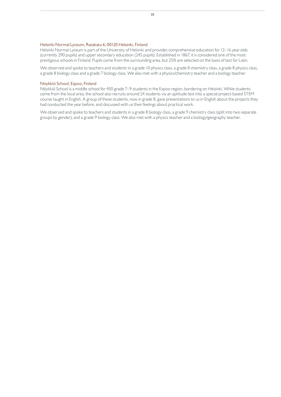#### Helsinki Normal Lyceum, Ratakatu 6, 00120 Helsinki, Finland

Helsinki Normal Lyceum is part of the University of Helsinki and provides comprehensive education for 12–16 year olds (currently 290 pupils) and upper secondary education (245 pupils). Established in 1867, it is considered one of the most prestigious schools in Finland. Pupils come from the surrounding area, but 25% are selected on the basis of test for Latin.

We observed and spoke to teachers and students in a grade 10 physics class, a grade 8 chemistry class, a grade 8 physics class, a grade 8 biology class and a grade 7 biology class. We also met with a physics/chemistry teacher and a biology teacher.

#### Nöykkiö School, Espoo, Finland

Nöykkiö School is a middle school for 450 grade 7–9 students in the Espoo region, bordering on Helsinki. While students come from the local area, the school also recruits around 24 students via an aptitude test into a special project-based STEM course taught in English. A group of these students, now in grade 8, gave presentations to us in English about the projects they had conducted the year before, and discussed with us their feelings about practical work.

We observed and spoke to teachers and students in a grade 8 biology class, a grade 9 chemistry class (split into two separate groups by gender), and a grade 9 biology class. We also met with a physics teacher and a biology/geography teacher.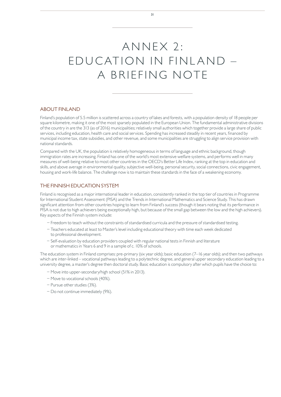# ANNFX 2: EDUCATION IN FINLAND -A BRIEFING NOTE

## ABOUT FINLAND

Finland's population of 5.5 million is scattered across a country of lakes and forests, with a population density of 18 people per square kilometre, making it one of the most sparsely populated in the European Union. The fundamental administrative divisions of the country in are the 313 (as of 2016) municipalities; relatively small authorities which together provide a large share of public services, including education, health care and social services. Spending has increased steadily in recent years, financed by municipal income tax, state subsidies, and other revenue, and some municipalities are struggling to align service provision with national standards.

Compared with the UK, the population is relatively homogeneous in terms of language and ethnic background, though immigration rates are increasing. Finland has one of the world's most extensive welfare systems, and performs well in many measures of well-being relative to most other countries in the OECD's Better Life Index, ranking at the top in education and skills, and above average in environmental quality, subjective well-being, personal security, social connections, civic engagement, housing and work-life balance. The challenge now is to maintain these standards in the face of a weakening economy.

#### THE FINNISH EDUCATION SYSTEM

Finland is recognised as a major international leader in education, consistently ranked in the top tier of countries in Programme for International Student Assessment (PISA) and the Trends in International Mathematics and Science Study. This has drawn significant attention from other countries hoping to learn from Finland's success (though it bears noting that its performance in PISA is not due to high achievers being exceptionally high, but because of the small gap between the low and the high achievers). Key aspects of the Finnish system include:

- − Freedom to teach without the constraints of standardised curricula and the pressure of standardised testing.
- − Teachers educated at least to Master's level including educational theory with time each week dedicated to professional development.
- − Self-evaluation by education providers coupled with regular national tests in Finnish and literature or mathematics in Years 6 and 9 in a sample of c. 10% of schools.

The education system in Finland comprises: pre-primary (six year olds); basic education (7–16 year olds); and then two pathways which are inter-linked – vocational pathways leading to a polytechnic degree, and general upper secondary education leading to a university degree, a master's degree then doctoral study. Basic education is compulsory after which pupils have the choice to:

- − Move into upper-secondary/high school (51% in 2013).
- − Move to vocational schools (40%).
- − Pursue other studies (3%).
- − Do not continue immediately (9%).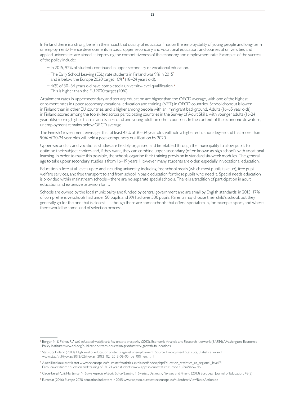In Finland there is a strong belief in the impact that quality of education<sup>1</sup> has on the employability of young people and long-term unemployment.<sup>2</sup> Hence developments in basic, upper secondary and vocational education, and courses at universities and applied universities are aimed at improving the competitiveness of the economy and employment rate. Examples of the success of the policy include:

- − In 2015, 92% of students continued in upper secondary or vocational education.
- − The Early School Leaving (ESL) rate students in Finland was 9% in 2015<sup>3</sup> and is below the Europe 2020 target 10%<sup>4</sup> (18–24 years old).
- − 46% of 30–34 years old have completed a university-level qualification.<sup>5</sup> This is higher than the EU 2020 target (40%).

Attainment rates in upper secondary and tertiary education are higher than the OECD average, with one of the highest enrolment rates in upper secondary vocational education and training (VET) in OECD countries. School dropout is lower in Finland than in other EU countries, and is higher among people with an immigrant background. Adults (16-65 year olds) in Finland scored among the top skilled across participating countries in the Survey of Adult Skills, with younger adults (16-24 year olds) scoring higher than all adults in Finland and young adults in other countries. In the context of the economic downturn, unemployment remains below OECD average.

The Finnish Government envisages that at least 42% of 30–34 year olds will hold a higher education degree and that more than 90% of 20-24 year olds will hold a post-compulsory qualification by 2020.

Upper-secondary and vocational studies are flexibly organised and timetabled through the municipality to allow pupils to optimise their subject choices and, if they want, they can combine upper-secondary (often known as high school), with vocational learning. In order to make this possible, the schools organise their training provision in standard six-week modules. The general age to take upper secondary studies is from 16–19 years. However, many students are older, especially in vocational education.

Education is free at all levels up to and including university, including free school meals (which most pupils take up), free pupil welfare services, and free transport to and from school in basic education for those pupils who need it. Special needs education is provided within mainstream schools – there are no separate special schools. There is a tradition of participation in adult education and extensive provision for it.

Schools are owned by the local municipality and funded by central government and are small by English standards: in 2015, 17% of comprehensive schools had under 50 pupils and 9% had over 500 pupils. Parents may choose their child's school, but they generally go for the one that is closest – although there are some schools that offer a specialism in, for example, sport, and where there would be some kind of selection process.

<sup>&</sup>lt;sup>1</sup> Berger, N. & Fisher, P. A well-educated workforce is key to state prosperity (2013). Economic Analysis and Research Network (EARN). Washington: Economic Policy Institute www.epi.org/publication/states-education-productivity-growth-foundations

<sup>2</sup> Statistics Finland (2013). High level of education protects against unemployment. Source: Employment Statistics, Statistics Finland www.stat.fi/til/tyokay/2012/02/tyokay\_2012\_02\_2013-06-05\_tie\_001\_en.html

<sup>3</sup> Alueelliset koulutustilastot www.ec.europa.eu/eurostat/statistics-explained/index.php/Education\_statistics\_at\_regional\_level/fi Early leavers from education and training of 18–24 year students www.appsso.eurostat.ec.europa.eu/nui/show.do

<sup>4</sup> Cederberg M,. & Hartsmar N. *Some Aspects of Early School Leaving in Sweden, Denmark, Norway and Finland* (2013) European Journal of Education, 48(3).

<sup>5</sup> Eurostat (2016) Europe 2020 education indicators in 2015 www.appsso.eurostat.ec.europa.eu/nui/submitViewTableAction.do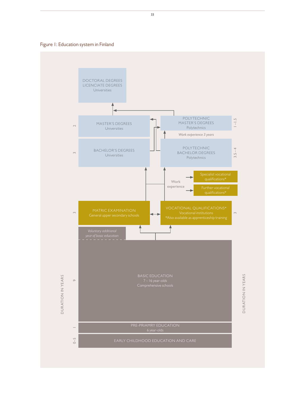



33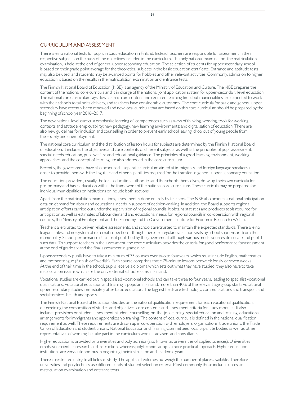### CURRICULUM AND ASSESSMENT

There are no national tests for pupils in basic education in Finland. Instead, teachers are responsible for assessment in their respective subjects on the basis of the objectives included in the curriculum. The only national examination, the matriculation examination, is held at the end of general upper secondary education. The selection of students for upper secondary school is based on their grade point average for the theoretical subjects in the basic education certificate. Entrance and aptitude tests may also be used, and students may be awarded points for hobbies and other relevant activities. Commonly, admission to higher education is based on the results in the matriculation examination and entrance tests.

The Finnish National Board of Education (NBE) is an agency of the Ministry of Education and Culture. The NBE prepares the content of the national core curricula and is in charge of the national joint application system for upper-secondary level education. The national core curriculum lays down curriculum content and required teaching time, but municipalities are expected to work with their schools to tailor its delivery, and teachers have considerable autonomy. The core curricula for basic and general upper secondary have recently been renewed and new local curricula that are based on this core curriculum should be prepared by the beginning of school year 2016–2017.

The new national level curricula emphasise learning of: competences such as ways of thinking, working, tools for working, contexts and attitude; employability; new pedagogy, new learning environments; and digitalisation of education. There are also new guidelines for inclusion and counselling in order to prevent early school leaving, drop out of young people from the society and unemployment.

The national core curriculum and the distribution of lesson hours for subjects are determined by the Finnish National Board of Education. It includes the objectives and core contents of different subjects, as well as the principles of pupil assessment, special-needs education, pupil welfare and educational guidance. The principles of a good learning environment, working approaches, and the concept of learning are also addressed in the core curriculum.

Recently, the government have also produced a separate curriculum aimed at immigrants and foreign language speakers in order to provide them with the linguistic and other capabilities required for the transfer to general upper secondary education.

The education providers, usually the local education authorities and the schools themselves, draw up their own curricula for pre-primary and basic education within the framework of the national core curriculum. These curricula may be prepared for individual municipalities or institutions or include both sections.

Apart from the matriculation examinations, assessment is done entirely by teachers. The NBE also produces national anticipation data on demand for labour and educational needs in support of decision-making. In addition, the Board supports regional anticipation efforts carried out under the supervision of regional councils. It obtains statistics and produces tools required for anticipation as well as estimates of labour demand and educational needs for regional councils in co-operation with regional councils, the Ministry of Employment and the Economy and the Government Institute for Economic Research (VATT).

Teachers are trusted to deliver reliable assessments, and schools are trusted to maintain the expected standards. There are no league tables and no system of external inspection – though there are regular evaluation visits by school supervisors from the municipality. School performance data is not published by the government although various media sources do collate and publish such data. To support teachers in the assessment, the core curriculum provides the criteria for good performance for assessment at the end of grade six and the final assessment in grade nine.

Upper-secondary pupils have to take a minimum of 75 courses over two to four years, which must include English, mathematics and mother tongue (Finnish or Swedish). Each course comprises three 75-minute lessons per week for six or seven weeks. At the end of their time in the school, pupils receive a diploma which sets out what they have studied; they also have to take matriculation exams which are the only external school exams in Finland.

Vocational studies are carried out in specialised vocational schools and can take three to four years, leading to specialist vocational qualifications. Vocational education and training is popular in Finland; more than 40% of the relevant age group starts vocational upper secondary studies immediately after basic education. The biggest fields are technology, communications and transport and social services, health and sports.

The Finnish National Board of Education decides on the national qualification requirement for each vocational qualification, determining the composition of studies and objectives, core contents and assessment criteria for study modules. It also includes provisions on student assessment, student counselling, on-the-job learning, special education and training, educational arrangements for immigrants and apprenticeship training. The content of local curricula is defined in the national qualification requirement as well. These requirements are drawn up in co-operation with employers' organisations, trade unions, the Trade Union of Education and student unions. National Education and Training Committees, local tripartite bodies as well as other representatives of working life take part in the curriculum work as advisers and consultants.

Higher education is provided by universities and polytechnics (also known as universities of applied sciences). Universities emphasise scientific research and instruction, whereas polytechnics adopt a more practical approach. Higher education institutions are very autonomous in organising their instruction and academic year.

There is restricted entry to all fields of study. The applicant volumes outweigh the number of places available. Therefore universities and polytechnics use different kinds of student selection criteria. Most commonly these include success in matriculation examination and entrance tests.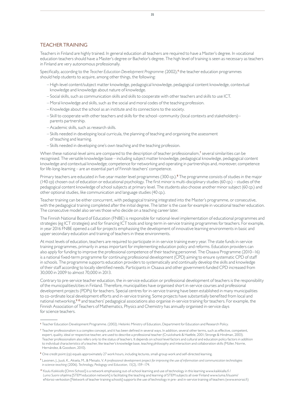## TEACHER TRAINING

Teachers in Finland are highly trained. In general education all teachers are required to have a Master's degree. In vocational education teachers should have a Master's degree or Bachelor's degree. The high level of training is seen as necessary as teachers in Finland are very autonomous professionally.

Specifically, according to the *Teacher Education Development Programme* (2002),<sup>6</sup> the teacher education programmes should help students to acquire, among other things, the following:

- High-level content/subject matter knowledge, pedagogical knowledge, pedagogical content knowledge, contextual knowledge and knowledge about nature of knowledge.
- Social skills, such as communication skills and skills to cooperate with other teachers and skills to use ICT.
- Moral knowledge and skills, such as the social and moral codes of the teaching profession.
- Knowledge about the school as an institute and its connections to the society.
- Skill to cooperate with other teachers and skills for the school–community (local contexts and stakeholders)– parents partnership.
- Academic skills, such as research skills.
- Skills needed in developing local curricula, the planning of teaching and organising the assessment of teaching and learning.
- Skills needed in developing one's own teaching and the teaching profession.

When these national-level aims are compared to the description of teacher professionalism,<sup>7</sup> several similarities can be recognised. The versatile knowledge base – including subject matter knowledge, pedagogical knowledge, pedagogical content knowledge and contextual knowledge; competence for networking and operating in partnerships and, moreover, competence for life-long-learning – are an essential part of Finnish teachers' competence.

Primary teachers are educated in five-year master level programmes (300 cp.).<sup>8</sup> The programme consists of studies in the major (140 cp) chosen out of education or educational psychology. The first minor is multi-disciplinary studies (60 cp.) – studies of the pedagogical content knowledge of school subjects at primary level. The students also choose another minor subject (60 cp.) and other optional studies, like communication and language studies (40 cp.).

Teacher training can be either concurrent, with pedagogical training integrated into the Master's programme, or consecutive, with the pedagogical training completed after the initial degree. The latter is the case for example in vocational teacher education. The consecutive model also serves those who decide on a teaching career later.

The Finnish National Board of Education (FNBE) is responsible for national-level implementation of educational programmes and strategies (eg ICT strategies) and for financing ICT tools and long-term in-service training programmes for teachers. For example, in year 2016 FNBE opened a call for projects emphasising the development of innovative learning environments in basic and upper secondary education and training of teachers in these environments.

At most levels of education, teachers are required to participate in in-service training every year. The state funds in-service training programmes, primarily in areas important for implementing education policy and reforms. Education providers can also apply for funding to improve the professional competence of their teaching personnel. The Osaava Programme (2010–16) is a national fixed-term programme for continuing professional development (CPD) aiming to ensure systematic CPD of staff in schools. The programme supports education providers to systematically and continually develop the skills and knowledge of their staff according to locally identified needs. Participants in Osaava and other government-funded CPD increased from 30,000 in 2009 to almost 70,000 in 2013.

Contrary to pre-service teacher education, the in-service education or professional development of teachers is the responsibility of the municipalities/cities in Finland. Therefore, municipalities have organised short in-service courses and professional development projects (PDPs) for teachers. Special centres for in-service training have been established in many municipalities to co-ordinate local development efforts and in-service training. Some projects have substantially benefited from local and national networking,<sup>910</sup> and teachers' pedagogical associations also organise in-service training for teachers. For example, the Finnish Association of Teachers of Mathematics, Physics and Chemistry has annually organised in-service days for science teachers.

<sup>6</sup>Teacher Education Development Programme. (2002). Helsinki: Ministry of Education, Department for Education and Research Policy.

<sup>7</sup> Teacher professionalism is a complex concept, and it has been defined in several ways. In addition, several other terms, such as effective, competent, expert, quality, ideal or respective teacher, are used to describe a professional teacher (Cruickshank & Haefele, 2001; Stronge & Hindman, 2003). Teacher professionalism also refers only to the status of teachers. It depends on school level factors and cultural and education policy factors in addition to individual characteristics of a teacher, like teacher's knowledge base, teaching philosophy and interaction and collaboration skills (Müller, Norrie, Hernández, & Goodson, 2010).

<sup>&</sup>lt;sup>8</sup> One credit point (cp) equals approximately 27 work hours, including lectures, small-group work and self-directed learning.

<sup>9</sup> Lavonen, J., Juuti, K., Aksela, M., & Meisalo, V. *A professional development project for improving the use of information and communication technologies in science teaching* (2006). *Technology, Pedagogy and Education, 15*(2), 159–174.

<sup>10</sup> *Koulu Kaikkialla* [Omni School] is a network emphasising out-of-school learning and use of technology in this learning www.kaikkialla.fi / *Luma Suomi* ohjelma [STEM education network] is facilitating the teaching and learning of STEM subjects all over Finland www.luma.fi/suomi/ eNorssi-verkoston [Network of teacher training schools] supports the use of technology in pre- and in-service training of teachers (www.enorssi.fi)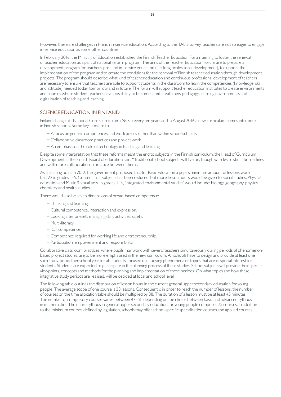However, there are challenges in Finnish in-service education. According to the TALIS survey, teachers are not so eager to engage in-service education as some other countries.

In February 2016, the Ministry of Education established the Finnish Teacher Education Forum aiming to foster the renewal of teacher education as a part of national reform program. The aims of the Teacher Education Forum are to prepare a development program for teachers' pre- and in-service education (life-long professional development), to support the implementation of the program and to create the conditions for the renewal of Finnish teacher education through development projects. The program should describe what kind of teacher education and continuous professional development of teachers are necessary to ensure that teachers are able to support students in the classroom to learn the competencies (knowledge, skill and attitude) needed today, tomorrow and in future. The forum will support teacher education institutes to create environments and courses where student teachers have possibility to become familiar with new pedagogy, learning environments and digitalisation of teaching and learning.

## SCIENCE EDUCATION IN FINLAND

Finland changes its National Core Curriculum (NCC) every ten years and in August 2016 a new curriculum comes into force in Finnish schools. Some key aims are to:

- − A focus on generic competences and work across rather than within school subjects.
- − Collaborative classroom practices and project work.
- − An emphasis on the role of technology in teaching and learning.

Despite some interpretation that these reforms meant the end to subjects in the Finnish curriculum, the Head of Curriculum Development at the Finnish Board of education said: "Traditional school subjects will live on, though with less distinct borderlines and with more collaboration in practice between them".

As a starting point in 2012, the government proposed that for Basic Education a pupil's minimum amount of lessons would be 222 in grades 1–9. Content in all subjects has been reduced, but more lesson hours would be given to Social studies, Physical education and Music & visual arts. In grades 1–6, 'integrated environmental studies' would include: biology, geography, physics, chemistry and health studies.

There would also be seven dimensions of broad-based competence:

- − Thinking and learning.
- − Cultural competence, interaction and expression.
- − Looking after oneself, managing daily activities, safety.
- − Multi-literacy.
- − ICT competence.
- − Competence required for working life and entrepreneurship.
- − Participation, empowerment and responsibility.

Collaborative classroom practices, where pupils may work with several teachers simultaneously during periods of phenomenonbased project studies, are to be more emphasised in the new curriculum. All schools have to design and provide at least one such study-period per school year for all students, focused on studying phenomena or topics that are of special interest for students. Students are expected to participate in the planning process of these studies. School subjects will provide their specific viewpoints, concepts and methods for the planning and implementation of these periods. On what topics and how these integrative study periods are realised, will be decided at local and school level.

The following table outlines the distribution of lesson hours in the current general upper secondary education for young people. The average scope of one course is 38 lessons. Consequently, in order to reach the number of lessons, the number of courses on the time allocation table should be multiplied by 38. The duration of a lesson must be at least 45 minutes. The number of compulsory courses varies between 47–51, depending on the choice between basic and advanced syllabus in mathematics. The entire syllabus in general upper secondary education for young people comprises 75 courses. In addition to the minimum courses defined by legislation, schools may offer school-specific specialisation courses and applied courses.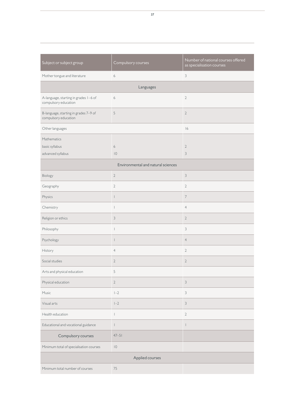| Subject or subject group                                      | Compulsory courses                    | Number of national courses offered<br>as specialisation courses |
|---------------------------------------------------------------|---------------------------------------|-----------------------------------------------------------------|
| Mother tongue and literature                                  | $\boldsymbol{6}$                      | $\mathcal{E}$                                                   |
| Languages                                                     |                                       |                                                                 |
| A-language, starting in grades 1-6 of<br>compulsory education | 6                                     | $\mathbf{2}$                                                    |
| B-language, starting in grades 7-9 of<br>compulsory education | 5                                     | $\overline{2}$                                                  |
| Other languages                                               |                                       | 16                                                              |
| Mathematics                                                   |                                       |                                                                 |
| basic syllabus                                                | 6                                     | $\mathbf{2}$                                                    |
| advanced syllabus                                             | $ 0\rangle$                           | 3                                                               |
| Environmental and natural sciences                            |                                       |                                                                 |
| Biology                                                       | $2\,$                                 | $\mathsf 3$                                                     |
| Geography                                                     | $\mathbf{2}$                          | $\overline{2}$                                                  |
| Physics                                                       |                                       | $\overline{7}$                                                  |
| Chemistry                                                     | $\perp$                               | $\overline{4}$                                                  |
| Religion or ethics                                            | 3                                     | $\overline{2}$                                                  |
| Philosophy                                                    | $\overline{\phantom{a}}$              | $\mathcal{E}$                                                   |
| Psychology                                                    | $\mathbf{I}$                          | $\overline{4}$                                                  |
| History                                                       | $\overline{4}$                        | $\mathbf{2}$                                                    |
| Social studies                                                | $\mathbf{2}$                          | $\mathbf{2}$                                                    |
| Arts and physical education                                   | 5                                     |                                                                 |
| Physical education                                            | $\mathbf{2}$                          | $\mathfrak{Z}$                                                  |
| Music                                                         | $I-2$                                 | $\mathsf 3$                                                     |
| Visual arts                                                   | $I-2$                                 | $\mathfrak{Z}$                                                  |
| Health education                                              | $\begin{array}{c} \hline \end{array}$ | $\mathbf{2}$                                                    |
| Educational and vocational guidance                           | $\mathsf{I}$                          | $\mathsf{I}$                                                    |
| Compulsory courses                                            | $47 - 51$                             |                                                                 |
| Minimum total of specialisation courses                       | $\mathsf{I}\,0$                       |                                                                 |
| Applied courses                                               |                                       |                                                                 |
| Minimum total number of courses                               | 75                                    |                                                                 |